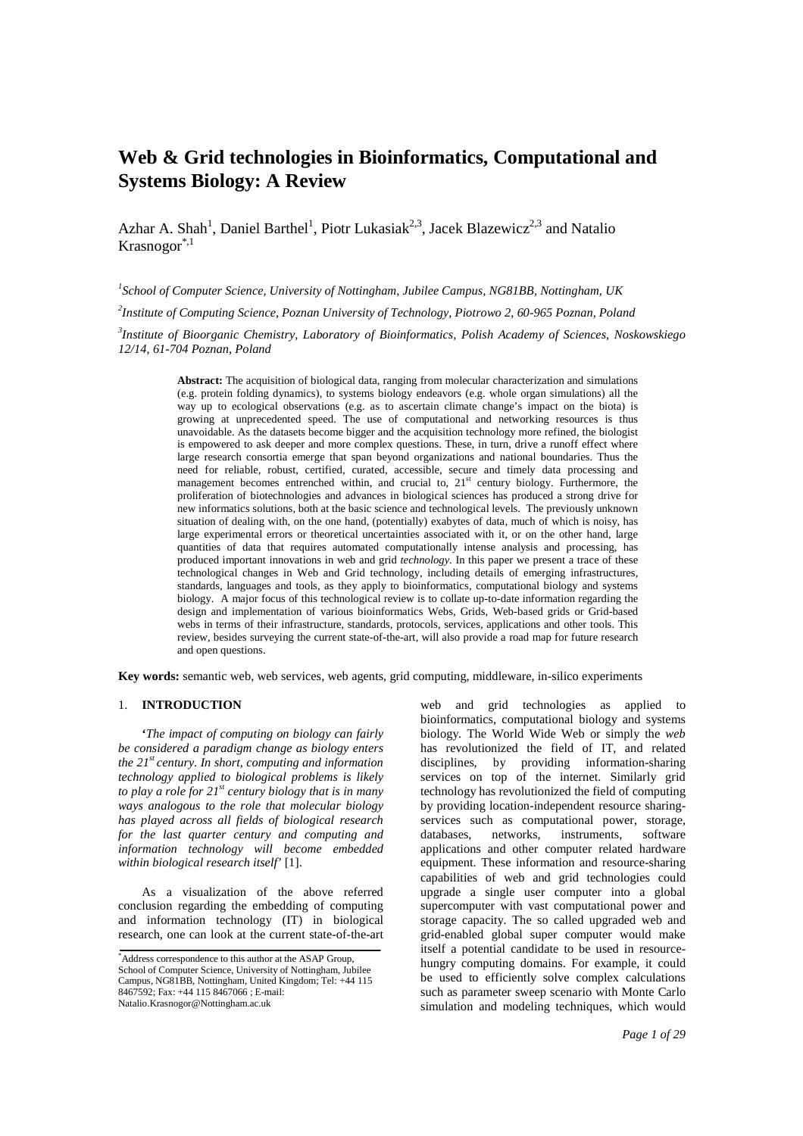# **Web & Grid technologies in Bioinformatics, Computational and Systems Biology: A Review**

Azhar A. Shah<sup>1</sup>, Daniel Barthel<sup>1</sup>, Piotr Lukasiak<sup>2,3</sup>, Jacek Blazewicz<sup>2,3</sup> and Natalio  $K$ rasnogor $^{*,1}$ 

*1 School of Computer Science, University of Nottingham, Jubilee Campus, NG81BB, Nottingham, UK*

*2 Institute of Computing Science, Poznan University of Technology, Piotrowo 2, 60-965 Poznan, Poland* 

*3 Institute of Bioorganic Chemistry, Laboratory of Bioinformatics, Polish Academy of Sciences, Noskowskiego 12/14, 61-704 Poznan, Poland* 

> **Abstract:** The acquisition of biological data, ranging from molecular characterization and simulations (e.g. protein folding dynamics), to systems biology endeavors (e.g. whole organ simulations) all the way up to ecological observations (e.g. as to ascertain climate change's impact on the biota) is growing at unprecedented speed. The use of computational and networking resources is thus unavoidable. As the datasets become bigger and the acquisition technology more refined, the biologist is empowered to ask deeper and more complex questions. These, in turn, drive a runoff effect where large research consortia emerge that span beyond organizations and national boundaries. Thus the need for reliable, robust, certified, curated, accessible, secure and timely data processing and management becomes entrenched within, and crucial to,  $21<sup>st</sup>$  century biology. Furthermore, the proliferation of biotechnologies and advances in biological sciences has produced a strong drive for new informatics solutions, both at the basic science and technological levels. The previously unknown situation of dealing with, on the one hand, (potentially) exabytes of data, much of which is noisy, has large experimental errors or theoretical uncertainties associated with it, or on the other hand, large quantities of data that requires automated computationally intense analysis and processing, has produced important innovations in web and grid *technology.* In this paper we present a trace of these technological changes in Web and Grid technology, including details of emerging infrastructures, standards, languages and tools, as they apply to bioinformatics, computational biology and systems biology. A major focus of this technological review is to collate up-to-date information regarding the design and implementation of various bioinformatics Webs, Grids, Web-based grids or Grid-based webs in terms of their infrastructure, standards, protocols, services, applications and other tools. This review, besides surveying the current state-of-the-art, will also provide a road map for future research and open questions.

**Key words:** semantic web, web services, web agents, grid computing, middleware, in-silico experiments

## 1. **INTRODUCTION**

**'***The impact of computing on biology can fairly be considered a paradigm change as biology enters the 21st century. In short, computing and information technology applied to biological problems is likely to play a role for 21st century biology that is in many ways analogous to the role that molecular biology has played across all fields of biological research for the last quarter century and computing and information technology will become embedded within biological research itself'* [1].

As a visualization of the above referred conclusion regarding the embedding of computing and information technology (IT) in biological research, one can look at the current state-of-the-art web and grid technologies as applied to bioinformatics, computational biology and systems biology. The World Wide Web or simply the *web* has revolutionized the field of IT, and related disciplines, by providing information-sharing services on top of the internet. Similarly grid technology has revolutionized the field of computing by providing location-independent resource sharingservices such as computational power, storage, databases, networks, instruments, software networks, instruments, software applications and other computer related hardware equipment. These information and resource-sharing capabilities of web and grid technologies could upgrade a single user computer into a global supercomputer with vast computational power and storage capacity. The so called upgraded web and grid-enabled global super computer would make itself a potential candidate to be used in resourcehungry computing domains. For example, it could be used to efficiently solve complex calculations such as parameter sweep scenario with Monte Carlo simulation and modeling techniques, which would

<sup>\*</sup>Address correspondence to this author at the ASAP Group, School of Computer Science, University of Nottingham, Jubilee Campus, NG81BB, Nottingham, United Kingdom; Tel: +44 115 8467592; Fax: +44 115 8467066 ; E-mail: Natalio.Krasnogor@Nottingham.ac.uk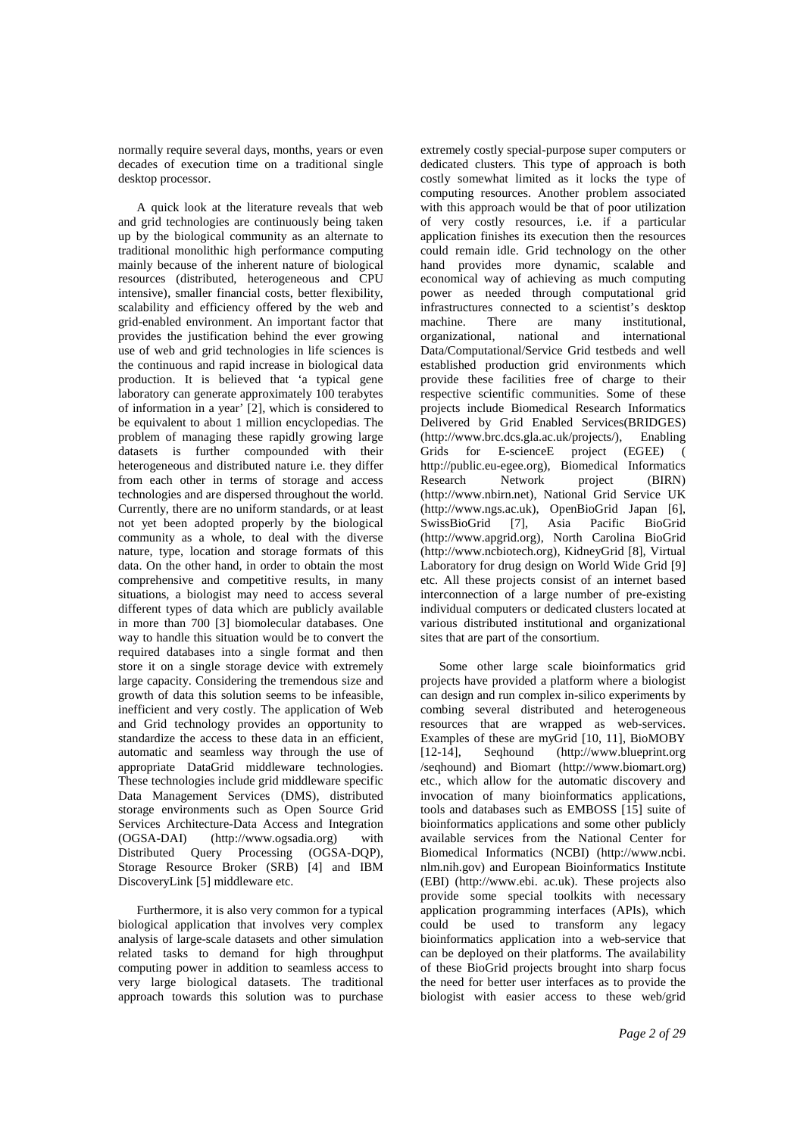normally require several days, months, years or even decades of execution time on a traditional single desktop processor.

A quick look at the literature reveals that web and grid technologies are continuously being taken up by the biological community as an alternate to traditional monolithic high performance computing mainly because of the inherent nature of biological resources (distributed, heterogeneous and CPU intensive), smaller financial costs, better flexibility, scalability and efficiency offered by the web and grid-enabled environment. An important factor that provides the justification behind the ever growing use of web and grid technologies in life sciences is the continuous and rapid increase in biological data production. It is believed that 'a typical gene laboratory can generate approximately 100 terabytes of information in a year' [2], which is considered to be equivalent to about 1 million encyclopedias. The problem of managing these rapidly growing large datasets is further compounded with their heterogeneous and distributed nature i.e. they differ from each other in terms of storage and access technologies and are dispersed throughout the world. Currently, there are no uniform standards, or at least not yet been adopted properly by the biological community as a whole, to deal with the diverse nature, type, location and storage formats of this data. On the other hand, in order to obtain the most comprehensive and competitive results, in many situations, a biologist may need to access several different types of data which are publicly available in more than 700 [3] biomolecular databases. One way to handle this situation would be to convert the required databases into a single format and then store it on a single storage device with extremely large capacity. Considering the tremendous size and growth of data this solution seems to be infeasible, inefficient and very costly. The application of Web and Grid technology provides an opportunity to standardize the access to these data in an efficient, automatic and seamless way through the use of appropriate DataGrid middleware technologies. These technologies include grid middleware specific Data Management Services (DMS), distributed storage environments such as Open Source Grid Services Architecture-Data Access and Integration (OGSA-DAI) (http://www.ogsadia.org) with Distributed Query Processing (OGSA-DQP), Storage Resource Broker (SRB) [4] and IBM DiscoveryLink [5] middleware etc.

Furthermore, it is also very common for a typical biological application that involves very complex analysis of large-scale datasets and other simulation related tasks to demand for high throughput computing power in addition to seamless access to very large biological datasets. The traditional approach towards this solution was to purchase

extremely costly special-purpose super computers or dedicated clusters. This type of approach is both costly somewhat limited as it locks the type of computing resources. Another problem associated with this approach would be that of poor utilization of very costly resources, i.e. if a particular application finishes its execution then the resources could remain idle. Grid technology on the other hand provides more dynamic, scalable and economical way of achieving as much computing power as needed through computational grid infrastructures connected to a scientist's desktop machine. There are many institutional, organizational, national and international Data/Computational/Service Grid testbeds and well established production grid environments which provide these facilities free of charge to their respective scientific communities. Some of these projects include Biomedical Research Informatics Delivered by Grid Enabled Services(BRIDGES) (http://www.brc.dcs.gla.ac.uk/projects/), Enabling Grids for E-scienceE project (EGEE) ( http://public.eu-egee.org), Biomedical Informatics Research Network project (BIRN) (http://www.nbirn.net), National Grid Service UK (http://www.ngs.ac.uk), OpenBioGrid Japan [6], SwissBioGrid [7], Asia Pacific BioGrid (http://www.apgrid.org), North Carolina BioGrid (http://www.ncbiotech.org), KidneyGrid [8], Virtual Laboratory for drug design on World Wide Grid [9] etc. All these projects consist of an internet based interconnection of a large number of pre-existing individual computers or dedicated clusters located at various distributed institutional and organizational sites that are part of the consortium.

Some other large scale bioinformatics grid projects have provided a platform where a biologist can design and run complex in-silico experiments by combing several distributed and heterogeneous resources that are wrapped as web-services. Examples of these are myGrid [10, 11], BioMOBY [12-14], Seqhound (http://www.blueprint.org /seqhound) and Biomart (http://www.biomart.org) etc., which allow for the automatic discovery and invocation of many bioinformatics applications, tools and databases such as EMBOSS [15] suite of bioinformatics applications and some other publicly available services from the National Center for Biomedical Informatics (NCBI) (http://www.ncbi. nlm.nih.gov) and European Bioinformatics Institute (EBI) (http://www.ebi. ac.uk). These projects also provide some special toolkits with necessary application programming interfaces (APIs), which could be used to transform any legacy bioinformatics application into a web-service that can be deployed on their platforms. The availability of these BioGrid projects brought into sharp focus the need for better user interfaces as to provide the biologist with easier access to these web/grid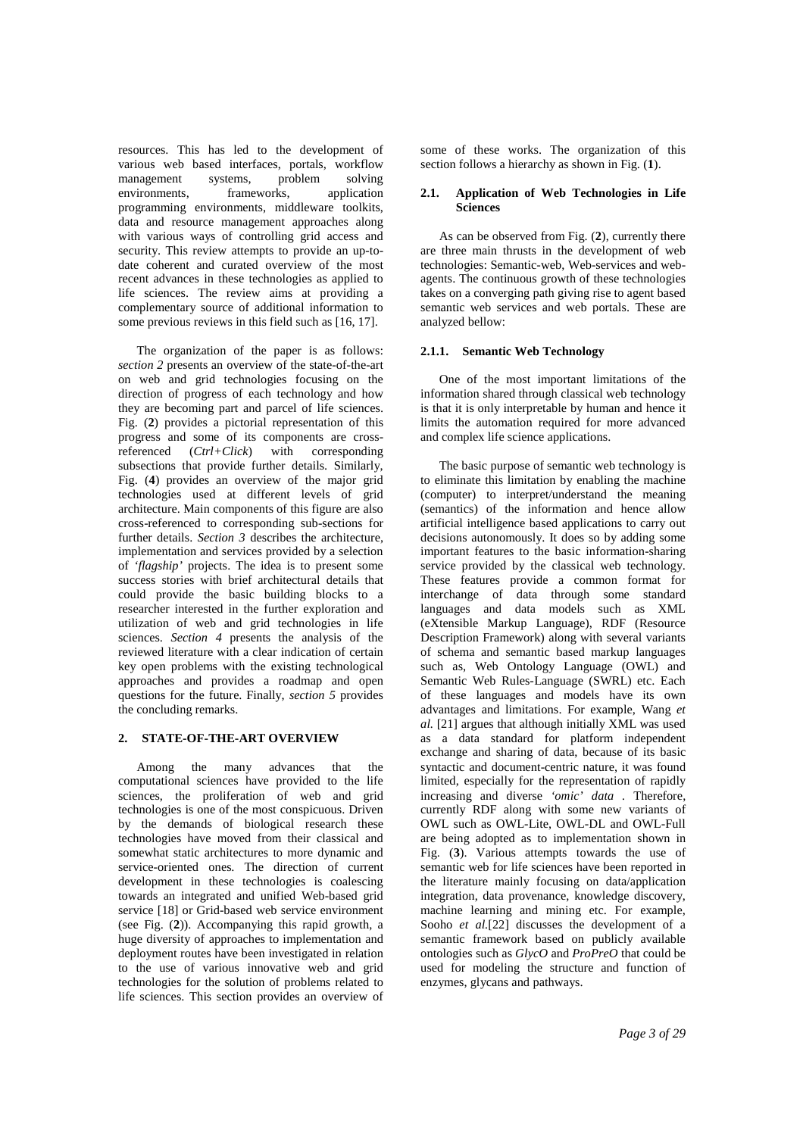resources. This has led to the development of various web based interfaces, portals, workflow management systems, problem solving environments, frameworks, application programming environments, middleware toolkits, data and resource management approaches along with various ways of controlling grid access and security. This review attempts to provide an up-todate coherent and curated overview of the most recent advances in these technologies as applied to life sciences. The review aims at providing a complementary source of additional information to some previous reviews in this field such as [16, 17].

The organization of the paper is as follows: *section 2* presents an overview of the state-of-the-art on web and grid technologies focusing on the direction of progress of each technology and how they are becoming part and parcel of life sciences. Fig. (**2**) provides a pictorial representation of this progress and some of its components are crossreferenced (*Ctrl+Click*) with corresponding subsections that provide further details. Similarly, Fig. (**4**) provides an overview of the major grid technologies used at different levels of grid architecture. Main components of this figure are also cross-referenced to corresponding sub-sections for further details. *Section 3* describes the architecture, implementation and services provided by a selection of *'flagship'* projects. The idea is to present some success stories with brief architectural details that could provide the basic building blocks to a researcher interested in the further exploration and utilization of web and grid technologies in life sciences. *Section 4* presents the analysis of the reviewed literature with a clear indication of certain key open problems with the existing technological approaches and provides a roadmap and open questions for the future. Finally, *section 5* provides the concluding remarks.

#### **2. STATE-OF-THE-ART OVERVIEW**

Among the many advances that the computational sciences have provided to the life sciences, the proliferation of web and grid technologies is one of the most conspicuous. Driven by the demands of biological research these technologies have moved from their classical and somewhat static architectures to more dynamic and service-oriented ones. The direction of current development in these technologies is coalescing towards an integrated and unified Web-based grid service [18] or Grid-based web service environment (see Fig. (**2**)). Accompanying this rapid growth, a huge diversity of approaches to implementation and deployment routes have been investigated in relation to the use of various innovative web and grid technologies for the solution of problems related to life sciences. This section provides an overview of

some of these works. The organization of this section follows a hierarchy as shown in Fig. (**1**).

#### **2.1. Application of Web Technologies in Life Sciences**

As can be observed from Fig. (**2**), currently there are three main thrusts in the development of web technologies: Semantic-web, Web-services and webagents. The continuous growth of these technologies takes on a converging path giving rise to agent based semantic web services and web portals. These are analyzed bellow:

#### **2.1.1. Semantic Web Technology**

One of the most important limitations of the information shared through classical web technology is that it is only interpretable by human and hence it limits the automation required for more advanced and complex life science applications.

The basic purpose of semantic web technology is to eliminate this limitation by enabling the machine (computer) to interpret/understand the meaning (semantics) of the information and hence allow artificial intelligence based applications to carry out decisions autonomously. It does so by adding some important features to the basic information-sharing service provided by the classical web technology. These features provide a common format for interchange of data through some standard languages and data models such as XML (eXtensible Markup Language), RDF (Resource Description Framework) along with several variants of schema and semantic based markup languages such as, Web Ontology Language (OWL) and Semantic Web Rules-Language (SWRL) etc. Each of these languages and models have its own advantages and limitations. For example, Wang *et al.* [21] argues that although initially XML was used as a data standard for platform independent exchange and sharing of data, because of its basic syntactic and document-centric nature, it was found limited, especially for the representation of rapidly increasing and diverse *'omic' data .* Therefore, currently RDF along with some new variants of OWL such as OWL-Lite, OWL-DL and OWL-Full are being adopted as to implementation shown in Fig. (**3**). Various attempts towards the use of semantic web for life sciences have been reported in the literature mainly focusing on data/application integration, data provenance, knowledge discovery, machine learning and mining etc. For example, Sooho *et al.*[22] discusses the development of a semantic framework based on publicly available ontologies such as *GlycO* and *ProPreO* that could be used for modeling the structure and function of enzymes, glycans and pathways.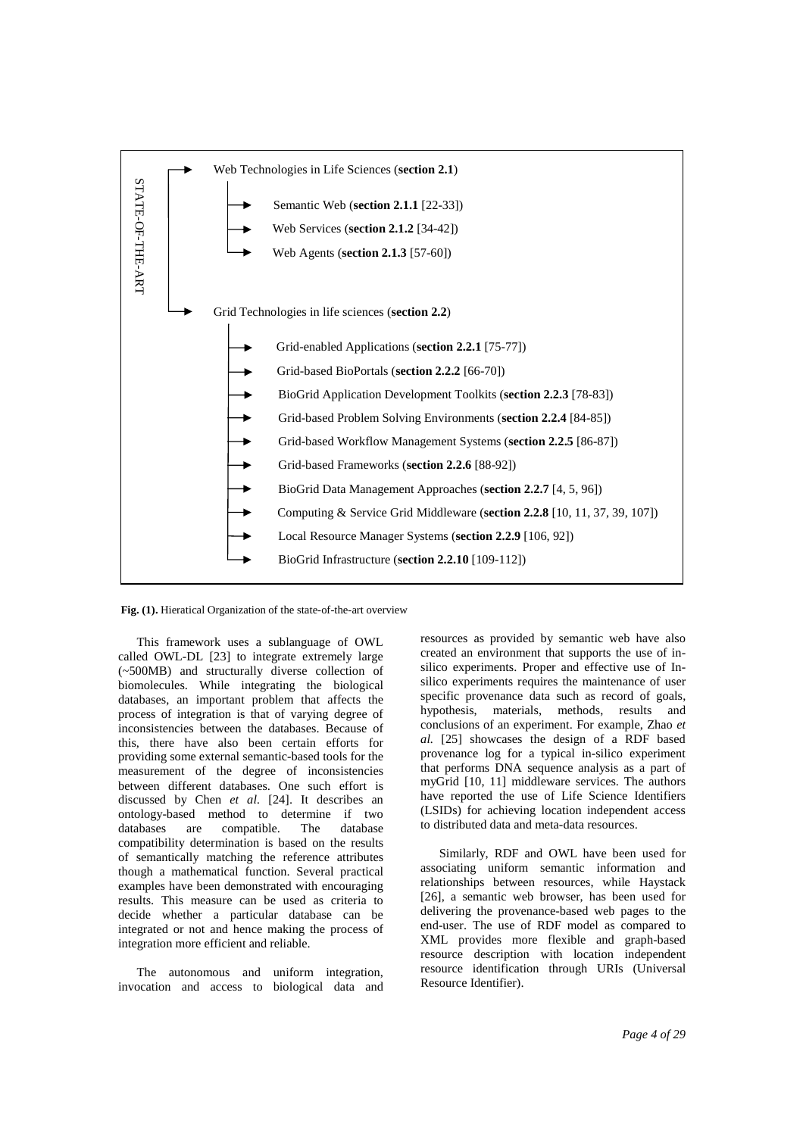

 **Fig. (1).** Hieratical Organization of the state-of-the-art overview

This framework uses a sublanguage of OWL called OWL-DL [23] to integrate extremely large (~500MB) and structurally diverse collection of biomolecules. While integrating the biological databases, an important problem that affects the process of integration is that of varying degree of inconsistencies between the databases. Because of this, there have also been certain efforts for providing some external semantic-based tools for the measurement of the degree of inconsistencies between different databases. One such effort is discussed by Chen *et al.* [24]. It describes an ontology-based method to determine if two databases are compatible. The database compatibility determination is based on the results of semantically matching the reference attributes though a mathematical function. Several practical examples have been demonstrated with encouraging results. This measure can be used as criteria to decide whether a particular database can be integrated or not and hence making the process of integration more efficient and reliable.

The autonomous and uniform integration, invocation and access to biological data and resources as provided by semantic web have also created an environment that supports the use of insilico experiments. Proper and effective use of Insilico experiments requires the maintenance of user specific provenance data such as record of goals, hypothesis, materials, methods, results and conclusions of an experiment. For example, Zhao *et al.* [25] showcases the design of a RDF based provenance log for a typical in-silico experiment that performs DNA sequence analysis as a part of myGrid [10, 11] middleware services. The authors have reported the use of Life Science Identifiers (LSIDs) for achieving location independent access to distributed data and meta-data resources.

Similarly, RDF and OWL have been used for associating uniform semantic information and relationships between resources, while Haystack [26], a semantic web browser, has been used for delivering the provenance-based web pages to the end-user. The use of RDF model as compared to XML provides more flexible and graph-based resource description with location independent resource identification through URIs (Universal Resource Identifier).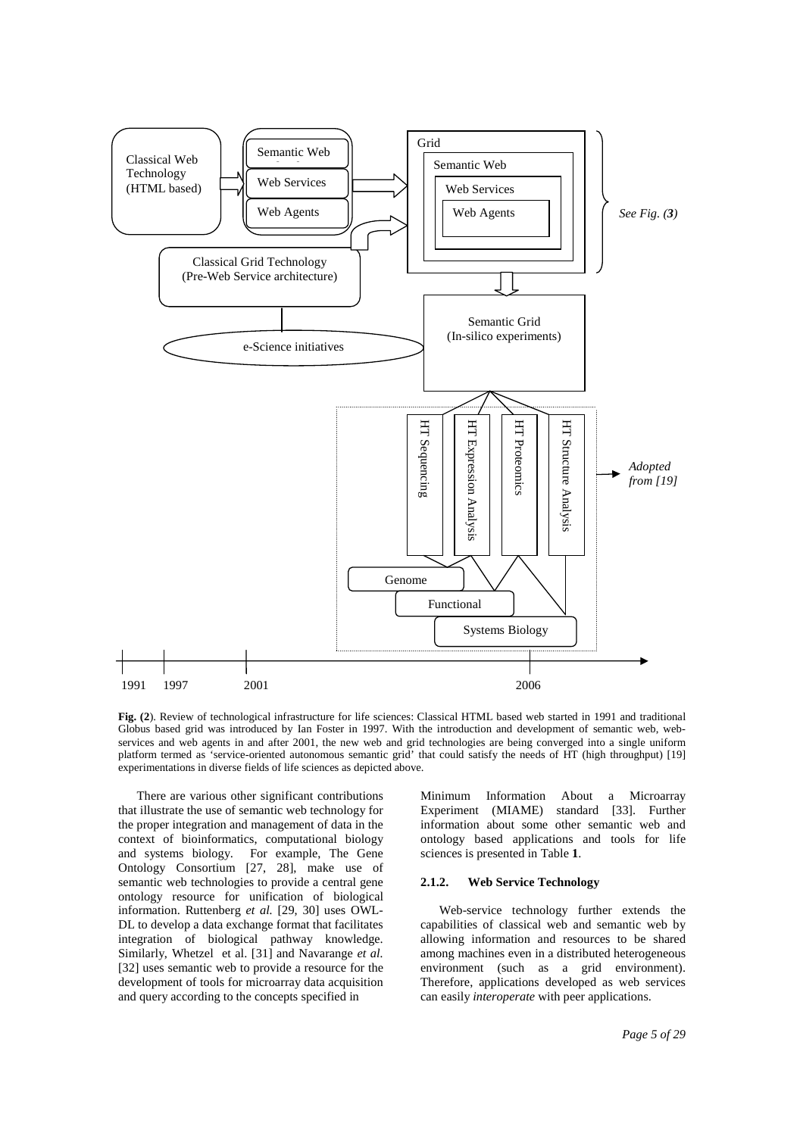

**Fig. (2**). Review of technological infrastructure for life sciences: Classical HTML based web started in 1991 and traditional Globus based grid was introduced by Ian Foster in 1997. With the introduction and development of semantic web, webservices and web agents in and after 2001, the new web and grid technologies are being converged into a single uniform platform termed as 'service-oriented autonomous semantic grid' that could satisfy the needs of HT (high throughput) [19] experimentations in diverse fields of life sciences as depicted above.

There are various other significant contributions that illustrate the use of semantic web technology for the proper integration and management of data in the context of bioinformatics, computational biology and systems biology. For example, The Gene Ontology Consortium [27, 28], make use of semantic web technologies to provide a central gene ontology resource for unification of biological information. Ruttenberg *et al.* [29, 30] uses OWL-DL to develop a data exchange format that facilitates integration of biological pathway knowledge. Similarly, Whetzel et al. [31] and Navarange *et al.* [32] uses semantic web to provide a resource for the development of tools for microarray data acquisition and query according to the concepts specified in

Minimum Information About a Microarray Experiment (MIAME) standard [33]. Further information about some other semantic web and ontology based applications and tools for life sciences is presented in Table **1**.

#### **2.1.2. Web Service Technology**

Web-service technology further extends the capabilities of classical web and semantic web by allowing information and resources to be shared among machines even in a distributed heterogeneous environment (such as a grid environment). Therefore, applications developed as web services can easily *interoperate* with peer applications.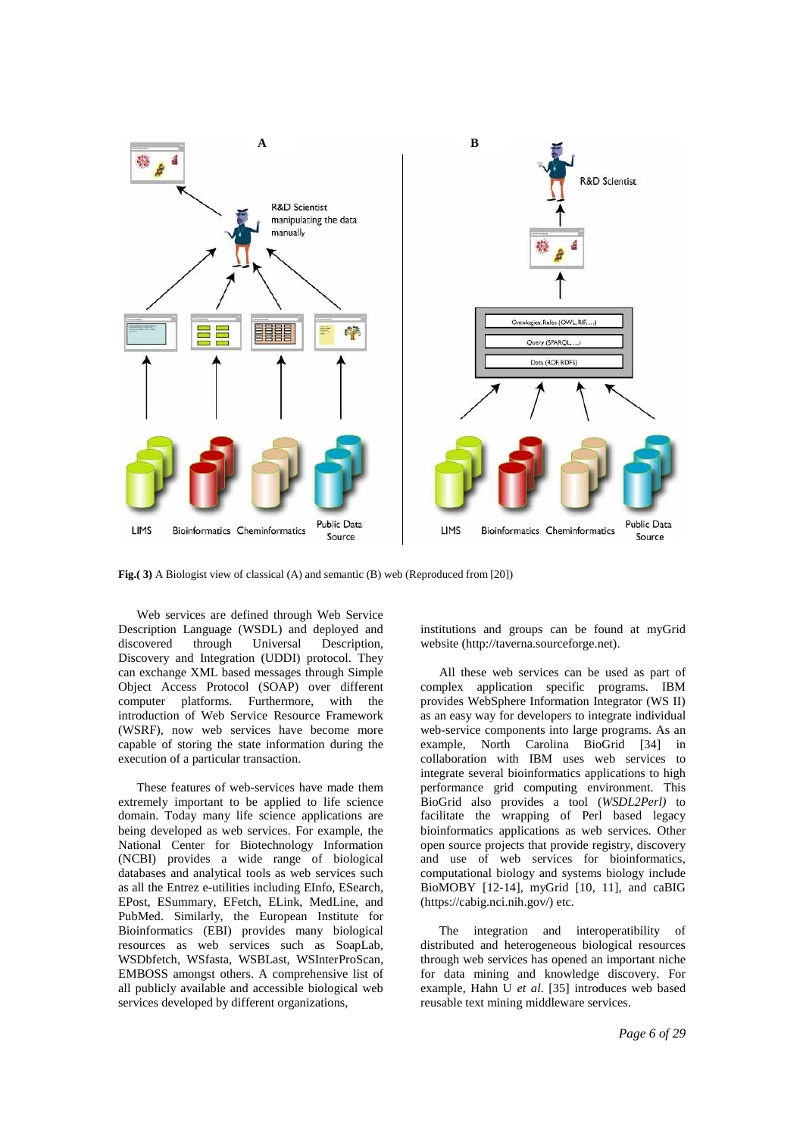

**Fig.( 3)** A Biologist view of classical (A) and semantic (B) web (Reproduced from [20])

Web services are defined through Web Service Description Language (WSDL) and deployed and discovered through Universal Description, Discovery and Integration (UDDI) protocol. They can exchange XML based messages through Simple Object Access Protocol (SOAP) over different computer platforms. Furthermore, with the introduction of Web Service Resource Framework (WSRF), now web services have become more capable of storing the state information during the execution of a particular transaction.

These features of web-services have made them extremely important to be applied to life science domain. Today many life science applications are being developed as web services. For example, the National Center for Biotechnology Information (NCBI) provides a wide range of biological databases and analytical tools as web services such as all the Entrez e-utilities including EInfo, ESearch, EPost, ESummary, EFetch, ELink, MedLine, and PubMed. Similarly, the European Institute for Bioinformatics (EBI) provides many biological resources as web services such as SoapLab, WSDbfetch, WSfasta, WSBLast, WSInterProScan, EMBOSS amongst others. A comprehensive list of all publicly available and accessible biological web services developed by different organizations,

institutions and groups can be found at myGrid website (http://taverna.sourceforge.net).

All these web services can be used as part of complex application specific programs. IBM provides WebSphere Information Integrator (WS II) as an easy way for developers to integrate individual web-service components into large programs. As an example, North Carolina BioGrid [34] in collaboration with IBM uses web services to integrate several bioinformatics applications to high performance grid computing environment. This BioGrid also provides a tool (*WSDL2Perl)* to facilitate the wrapping of Perl based legacy bioinformatics applications as web services. Other open source projects that provide registry, discovery and use of web services for bioinformatics, computational biology and systems biology include BioMOBY [12-14], myGrid [10, 11], and caBIG (https://cabig.nci.nih.gov/) etc.

The integration and interoperatibility of distributed and heterogeneous biological resources through web services has opened an important niche for data mining and knowledge discovery. For example, Hahn U *et al.* [35] introduces web based reusable text mining middleware services.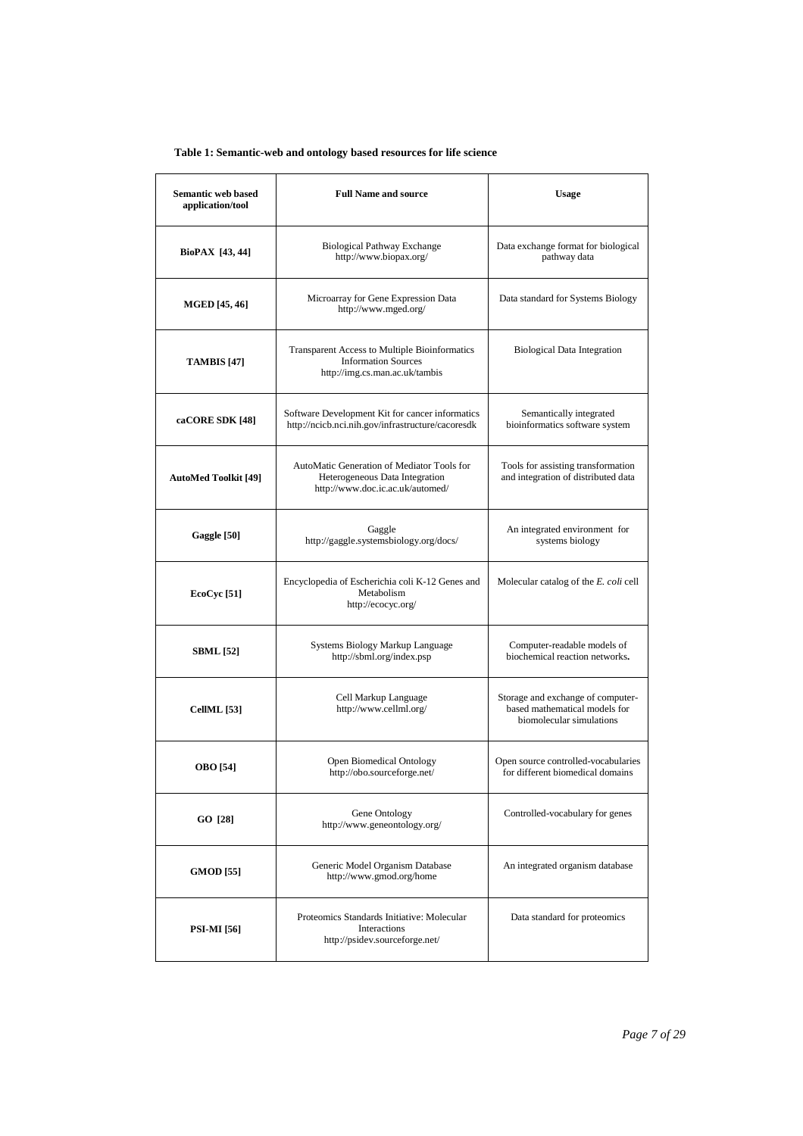# **Table 1: Semantic-web and ontology based resources for life science**

| <b>Semantic web based</b><br>application/tool | <b>Full Name and source</b>                                                                                                  | Usage                                                                                          |
|-----------------------------------------------|------------------------------------------------------------------------------------------------------------------------------|------------------------------------------------------------------------------------------------|
| BioPAX [43, 44]                               | <b>Biological Pathway Exchange</b><br>http://www.biopax.org/                                                                 | Data exchange format for biological<br>pathway data                                            |
| <b>MGED</b> [45, 46]                          | Microarray for Gene Expression Data<br>http://www.mged.org/                                                                  | Data standard for Systems Biology                                                              |
| <b>TAMBIS</b> [47]                            | <b>Transparent Access to Multiple Bioinformatics</b><br><b>Information Sources</b><br>http://img.cs.man.ac.uk/tambis         | <b>Biological Data Integration</b>                                                             |
| caCORE SDK [48]                               | Software Development Kit for cancer informatics<br>http://ncicb.nci.nih.gov/infrastructure/cacoresdk                         | Semantically integrated<br>bioinformatics software system                                      |
| <b>AutoMed Toolkit [49]</b>                   | AutoMatic Generation of Mediator Tools for<br>Heterogeneous Data Integration<br>http://www.doc.ic.ac.uk/automed/             | Tools for assisting transformation<br>and integration of distributed data                      |
| Gaggle [50]                                   | Gaggle<br>http://gaggle.systemsbiology.org/docs/                                                                             | An integrated environment for<br>systems biology                                               |
| <b>EcoCyc</b> [51]                            | Encyclopedia of Escherichia coli K-12 Genes and<br>Metabolism<br>http://ecocyc.org/                                          | Molecular catalog of the <i>E. coli</i> cell                                                   |
| <b>SBML</b> [52]                              | Systems Biology Markup Language<br>http://sbml.org/index.psp                                                                 | Computer-readable models of<br>biochemical reaction networks.                                  |
| <b>CellML</b> [53]                            | Cell Markup Language<br>http://www.cellml.org/                                                                               | Storage and exchange of computer-<br>based mathematical models for<br>biomolecular simulations |
| OBO [54]                                      | Open Biomedical Ontology<br>http://obo.sourceforge.net/                                                                      | Open source controlled-vocabularies<br>for different biomedical domains                        |
| GO [28]                                       | Gene Ontology<br>http://www.geneontology.org/                                                                                | Controlled-vocabulary for genes                                                                |
| <b>GMOD</b> [55]                              | Generic Model Organism Database<br>An integrated organism database<br>http://www.gmod.org/home                               |                                                                                                |
| PSI-MI [56]                                   | Proteomics Standards Initiative: Molecular<br>Data standard for proteomics<br>Interactions<br>http://psidev.sourceforge.net/ |                                                                                                |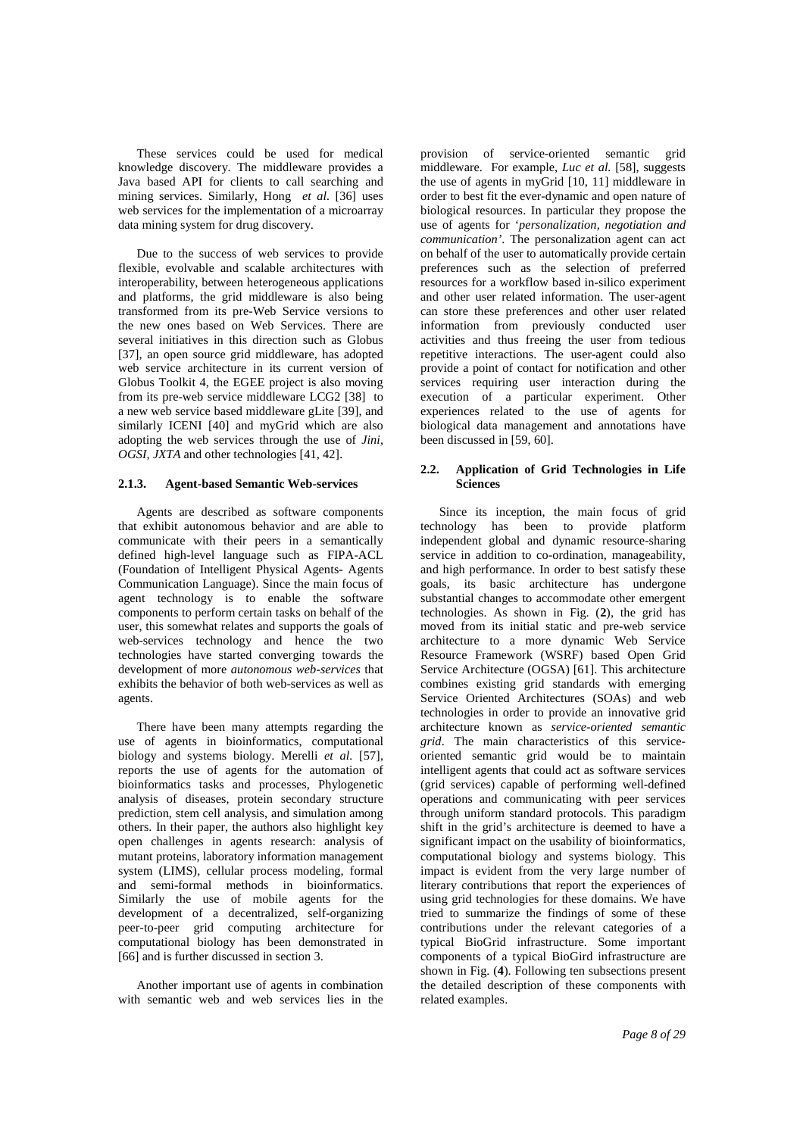These services could be used for medical knowledge discovery. The middleware provides a Java based API for clients to call searching and mining services. Similarly, Hong *et al.* [36] uses web services for the implementation of a microarray data mining system for drug discovery.

Due to the success of web services to provide flexible, evolvable and scalable architectures with interoperability, between heterogeneous applications and platforms, the grid middleware is also being transformed from its pre-Web Service versions to the new ones based on Web Services. There are several initiatives in this direction such as Globus [37], an open source grid middleware, has adopted web service architecture in its current version of Globus Toolkit 4, the EGEE project is also moving from its pre-web service middleware LCG2 [38] to a new web service based middleware gLite [39], and similarly ICENI [40] and myGrid which are also adopting the web services through the use of *Jini*, *OGSI*, *JXTA* and other technologies [41, 42].

#### **2.1.3. Agent-based Semantic Web-services**

Agents are described as software components that exhibit autonomous behavior and are able to communicate with their peers in a semantically defined high-level language such as FIPA-ACL (Foundation of Intelligent Physical Agents- Agents Communication Language). Since the main focus of agent technology is to enable the software components to perform certain tasks on behalf of the user, this somewhat relates and supports the goals of web-services technology and hence the two technologies have started converging towards the development of more *autonomous web-services* that exhibits the behavior of both web-services as well as agents.

There have been many attempts regarding the use of agents in bioinformatics, computational biology and systems biology. Merelli *et al.* [57], reports the use of agents for the automation of bioinformatics tasks and processes, Phylogenetic analysis of diseases, protein secondary structure prediction, stem cell analysis, and simulation among others. In their paper, the authors also highlight key open challenges in agents research: analysis of mutant proteins, laboratory information management system (LIMS), cellular process modeling, formal and semi-formal methods in bioinformatics. Similarly the use of mobile agents for the development of a decentralized, self-organizing peer-to-peer grid computing architecture for computational biology has been demonstrated in [66] and is further discussed in section 3.

Another important use of agents in combination with semantic web and web services lies in the provision of service-oriented semantic grid middleware. For example, *Luc et al.* [58], suggests the use of agents in myGrid [10, 11] middleware in order to best fit the ever-dynamic and open nature of biological resources. In particular they propose the use of agents for '*personalization, negotiation and communication'*. The personalization agent can act on behalf of the user to automatically provide certain preferences such as the selection of preferred resources for a workflow based in-silico experiment and other user related information. The user-agent can store these preferences and other user related information from previously conducted user activities and thus freeing the user from tedious repetitive interactions. The user-agent could also provide a point of contact for notification and other services requiring user interaction during the execution of a particular experiment. Other experiences related to the use of agents for biological data management and annotations have been discussed in [59, 60].

#### **2.2. Application of Grid Technologies in Life Sciences**

Since its inception, the main focus of grid technology has been to provide platform independent global and dynamic resource-sharing service in addition to co-ordination, manageability, and high performance. In order to best satisfy these goals, its basic architecture has undergone substantial changes to accommodate other emergent technologies. As shown in Fig. (**2**), the grid has moved from its initial static and pre-web service architecture to a more dynamic Web Service Resource Framework (WSRF) based Open Grid Service Architecture (OGSA) [61]. This architecture combines existing grid standards with emerging Service Oriented Architectures (SOAs) and web technologies in order to provide an innovative grid architecture known as *service-oriented semantic grid*. The main characteristics of this serviceoriented semantic grid would be to maintain intelligent agents that could act as software services (grid services) capable of performing well-defined operations and communicating with peer services through uniform standard protocols. This paradigm shift in the grid's architecture is deemed to have a significant impact on the usability of bioinformatics, computational biology and systems biology. This impact is evident from the very large number of literary contributions that report the experiences of using grid technologies for these domains. We have tried to summarize the findings of some of these contributions under the relevant categories of a typical BioGrid infrastructure. Some important components of a typical BioGird infrastructure are shown in Fig. (**4**). Following ten subsections present the detailed description of these components with related examples.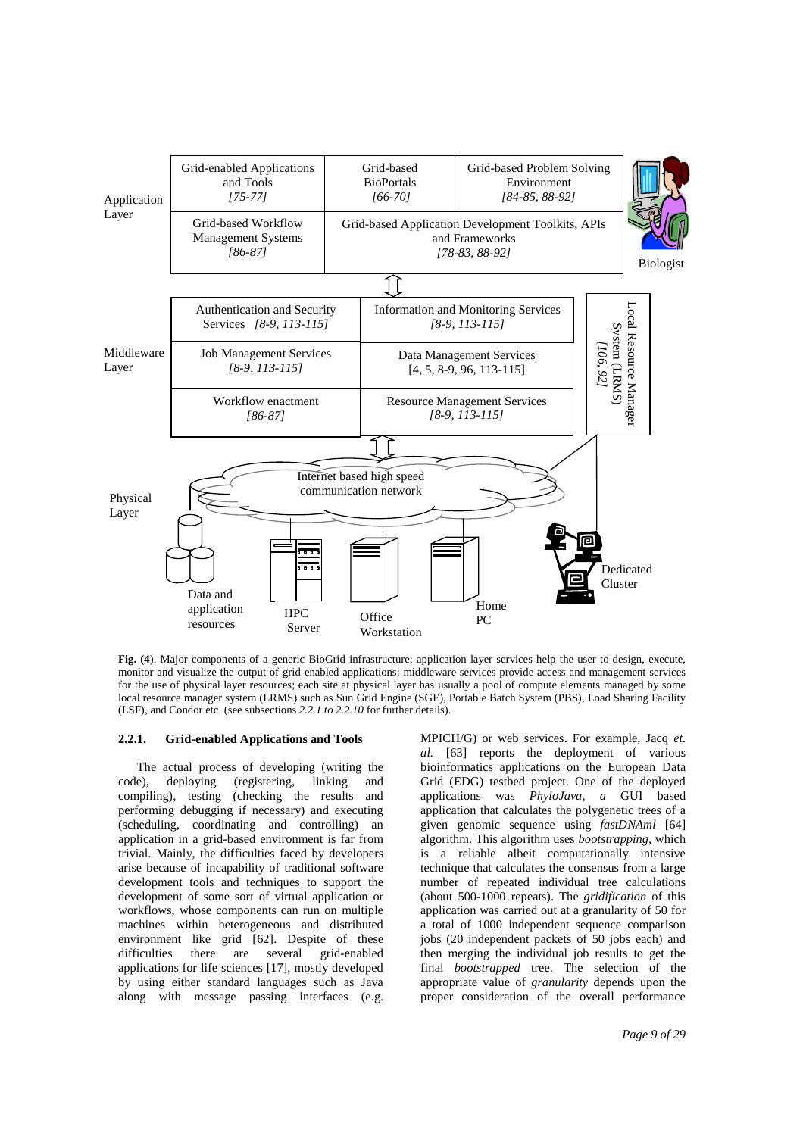

**Fig. (4**). Major components of a generic BioGrid infrastructure: application layer services help the user to design, execute, monitor and visualize the output of grid-enabled applications; middleware services provide access and management services for the use of physical layer resources; each site at physical layer has usually a pool of compute elements managed by some local resource manager system (LRMS) such as Sun Grid Engine (SGE), Portable Batch System (PBS), Load Sharing Facility (LSF), and Condor etc. (see subsections *2.2.1 to 2.2.10* for further details).

#### **2.2.1. Grid-enabled Applications and Tools**

The actual process of developing (writing the code), deploying (registering, linking and compiling), testing (checking the results and performing debugging if necessary) and executing (scheduling, coordinating and controlling) an application in a grid-based environment is far from trivial. Mainly, the difficulties faced by developers arise because of incapability of traditional software development tools and techniques to support the development of some sort of virtual application or workflows, whose components can run on multiple machines within heterogeneous and distributed environment like grid [62]. Despite of these difficulties there are several grid-enabled applications for life sciences [17], mostly developed by using either standard languages such as Java along with message passing interfaces (e.g.

MPICH/G) or web services. For example, Jacq *et. al.* [63] reports the deployment of various bioinformatics applications on the European Data Grid (EDG) testbed project. One of the deployed applications was *PhyloJava, a* GUI based application that calculates the polygenetic trees of a given genomic sequence using *fastDNAml* [64] algorithm. This algorithm uses *bootstrapping,* which is a reliable albeit computationally intensive technique that calculates the consensus from a large number of repeated individual tree calculations (about 500-1000 repeats). The *gridification* of this application was carried out at a granularity of 50 for a total of 1000 independent sequence comparison jobs (20 independent packets of 50 jobs each) and then merging the individual job results to get the final *bootstrapped* tree. The selection of the appropriate value of *granularity* depends upon the proper consideration of the overall performance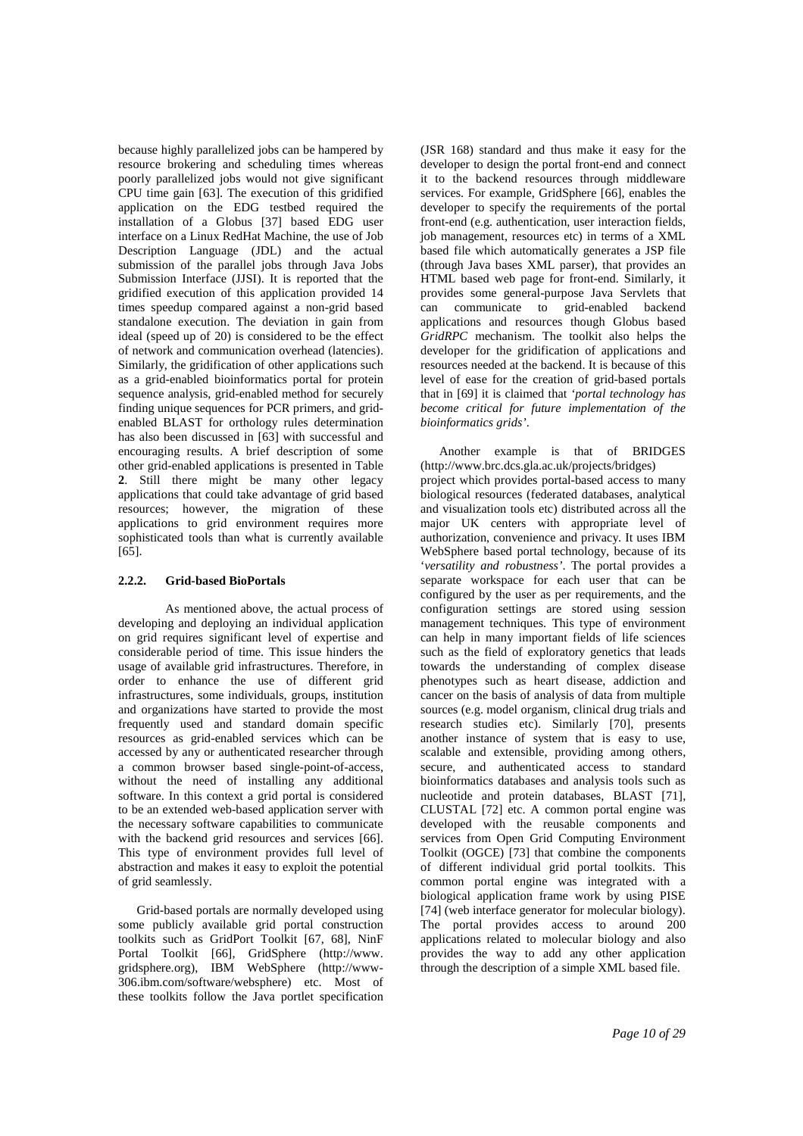because highly parallelized jobs can be hampered by resource brokering and scheduling times whereas poorly parallelized jobs would not give significant CPU time gain [63]. The execution of this gridified application on the EDG testbed required the installation of a Globus [37] based EDG user interface on a Linux RedHat Machine, the use of Job Description Language (JDL) and the actual submission of the parallel jobs through Java Jobs Submission Interface (JJSI). It is reported that the gridified execution of this application provided 14 times speedup compared against a non-grid based standalone execution. The deviation in gain from ideal (speed up of 20) is considered to be the effect of network and communication overhead (latencies). Similarly, the gridification of other applications such as a grid-enabled bioinformatics portal for protein sequence analysis, grid-enabled method for securely finding unique sequences for PCR primers, and gridenabled BLAST for orthology rules determination has also been discussed in [63] with successful and encouraging results. A brief description of some other grid-enabled applications is presented in Table **2**. Still there might be many other legacy applications that could take advantage of grid based resources; however, the migration of these applications to grid environment requires more sophisticated tools than what is currently available  $[65]$ .

#### **2.2.2. Grid-based BioPortals**

As mentioned above, the actual process of developing and deploying an individual application on grid requires significant level of expertise and considerable period of time. This issue hinders the usage of available grid infrastructures. Therefore, in order to enhance the use of different grid infrastructures, some individuals, groups, institution and organizations have started to provide the most frequently used and standard domain specific resources as grid-enabled services which can be accessed by any or authenticated researcher through a common browser based single-point-of-access, without the need of installing any additional software. In this context a grid portal is considered to be an extended web-based application server with the necessary software capabilities to communicate with the backend grid resources and services [66]. This type of environment provides full level of abstraction and makes it easy to exploit the potential of grid seamlessly.

Grid-based portals are normally developed using some publicly available grid portal construction toolkits such as GridPort Toolkit [67, 68], NinF Portal Toolkit [66], GridSphere (http://www. gridsphere.org), IBM WebSphere (http://www-306.ibm.com/software/websphere) etc. Most of these toolkits follow the Java portlet specification

(JSR 168) standard and thus make it easy for the developer to design the portal front-end and connect it to the backend resources through middleware services. For example, GridSphere [66], enables the developer to specify the requirements of the portal front-end (e.g. authentication, user interaction fields, job management, resources etc) in terms of a XML based file which automatically generates a JSP file (through Java bases XML parser), that provides an HTML based web page for front-end. Similarly, it provides some general-purpose Java Servlets that can communicate to grid-enabled backend applications and resources though Globus based *GridRPC* mechanism. The toolkit also helps the developer for the gridification of applications and resources needed at the backend. It is because of this level of ease for the creation of grid-based portals that in [69] it is claimed that *'portal technology has become critical for future implementation of the bioinformatics grids'*.

Another example is that of BRIDGES (http://www.brc.dcs.gla.ac.uk/projects/bridges) project which provides portal-based access to many biological resources (federated databases, analytical and visualization tools etc) distributed across all the major UK centers with appropriate level of authorization, convenience and privacy. It uses IBM WebSphere based portal technology, because of its '*versatility and robustness'*. The portal provides a separate workspace for each user that can be configured by the user as per requirements, and the configuration settings are stored using session management techniques. This type of environment can help in many important fields of life sciences such as the field of exploratory genetics that leads towards the understanding of complex disease phenotypes such as heart disease, addiction and cancer on the basis of analysis of data from multiple sources (e.g. model organism, clinical drug trials and research studies etc). Similarly [70], presents another instance of system that is easy to use, scalable and extensible, providing among others, secure, and authenticated access to standard bioinformatics databases and analysis tools such as nucleotide and protein databases, BLAST [71], CLUSTAL [72] etc. A common portal engine was developed with the reusable components and services from Open Grid Computing Environment Toolkit (OGCE) [73] that combine the components of different individual grid portal toolkits. This common portal engine was integrated with a biological application frame work by using PISE [74] (web interface generator for molecular biology). The portal provides access to around 200 applications related to molecular biology and also provides the way to add any other application through the description of a simple XML based file.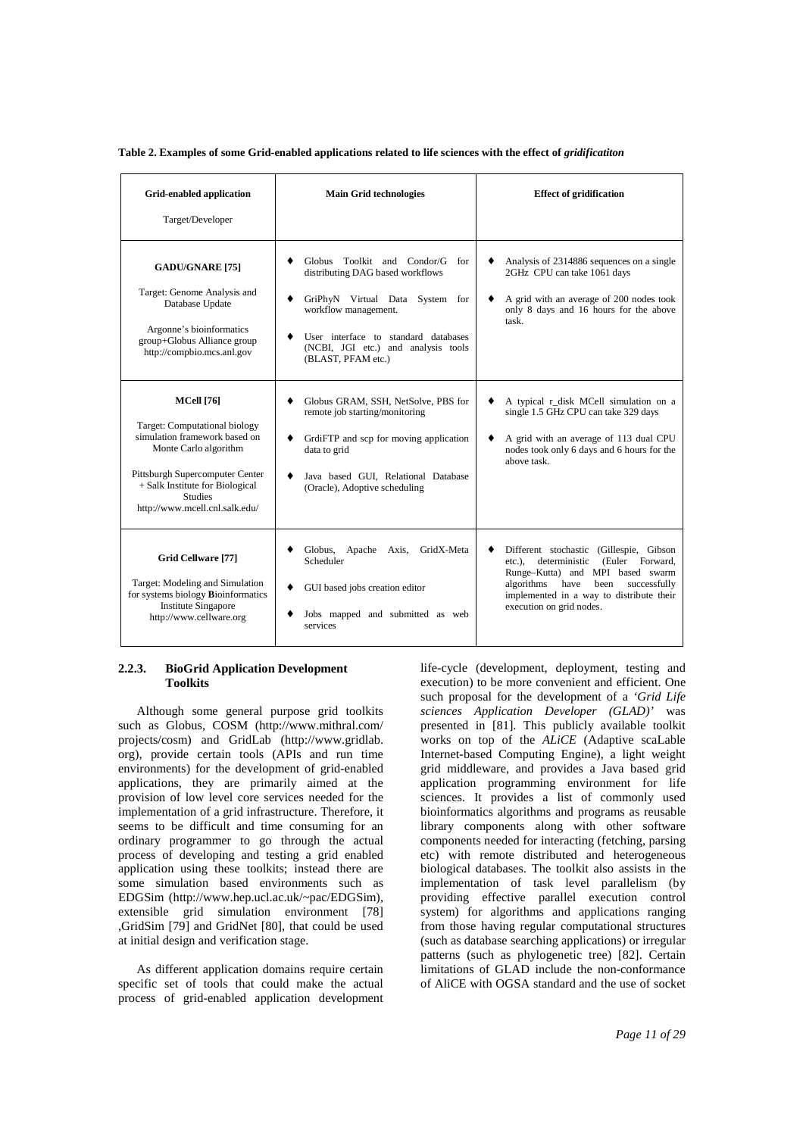Table 2. Examples of some Grid-enabled applications related to life sciences with the effect of *gridificatiton* 

| Grid-enabled application<br>Target/Developer                                                                                                                                                                                           | <b>Main Grid technologies</b>                                                                                                                                                                                                                      | <b>Effect of gridification</b>                                                                                                                                                                                                                       |
|----------------------------------------------------------------------------------------------------------------------------------------------------------------------------------------------------------------------------------------|----------------------------------------------------------------------------------------------------------------------------------------------------------------------------------------------------------------------------------------------------|------------------------------------------------------------------------------------------------------------------------------------------------------------------------------------------------------------------------------------------------------|
| <b>GADU/GNARE [75]</b><br>Target: Genome Analysis and<br>Database Update<br>Argonne's bioinformatics<br>group+Globus Alliance group<br>http://compbio.mcs.anl.gov                                                                      | Globus Toolkit and Condor/G for<br>۰<br>distributing DAG based workflows<br>GriPhyN Virtual Data System for<br>٠<br>workflow management.<br>User interface to standard databases<br>٠<br>(NCBI, JGI etc.) and analysis tools<br>(BLAST, PFAM etc.) | Analysis of 2314886 sequences on a single<br>2GHz CPU can take 1061 days<br>A grid with an average of 200 nodes took<br>only 8 days and 16 hours for the above<br>task.                                                                              |
| <b>MCell</b> [76]<br>Target: Computational biology<br>simulation framework based on<br>Monte Carlo algorithm<br>Pittsburgh Supercomputer Center<br>+ Salk Institute for Biological<br><b>Studies</b><br>http://www.mcell.cnl.salk.edu/ | Globus GRAM, SSH, NetSolve, PBS for<br>٠<br>remote job starting/monitoring<br>GrdiFTP and scp for moving application<br>٠<br>data to grid<br>Java based GUI, Relational Database<br>٠<br>(Oracle), Adoptive scheduling                             | A typical r_disk MCell simulation on a<br>٠<br>single 1.5 GHz CPU can take 329 days<br>A grid with an average of 113 dual CPU<br>٠<br>nodes took only 6 days and 6 hours for the<br>above task.                                                      |
| Grid Cellware [77]<br>Target: Modeling and Simulation<br>for systems biology Bioinformatics<br><b>Institute Singapore</b><br>http://www.cellware.org                                                                                   | Globus, Apache Axis,<br>GridX-Meta<br>٠<br>Scheduler<br>GUI based jobs creation editor<br>٠<br>Jobs mapped and submitted as web<br>٠<br>services                                                                                                   | Different stochastic (Gillespie, Gibson<br>٠<br>deterministic (Euler Forward,<br>$etc.$ ).<br>Runge-Kutta) and MPI based swarm<br>algorithms<br>have<br>been<br>successfully<br>implemented in a way to distribute their<br>execution on grid nodes. |

#### **2.2.3. BioGrid Application Development Toolkits**

Although some general purpose grid toolkits such as Globus, COSM (http://www.mithral.com/ projects/cosm) and GridLab (http://www.gridlab. org), provide certain tools (APIs and run time environments) for the development of grid-enabled applications, they are primarily aimed at the provision of low level core services needed for the implementation of a grid infrastructure. Therefore, it seems to be difficult and time consuming for an ordinary programmer to go through the actual process of developing and testing a grid enabled application using these toolkits; instead there are some simulation based environments such as EDGSim (http://www.hep.ucl.ac.uk/~pac/EDGSim), extensible grid simulation environment [78] ,GridSim [79] and GridNet [80], that could be used at initial design and verification stage.

As different application domains require certain specific set of tools that could make the actual process of grid-enabled application development life-cycle (development, deployment, testing and execution) to be more convenient and efficient. One such proposal for the development of a *'Grid Life sciences Application Developer (GLAD)'* was presented in [81]. This publicly available toolkit works on top of the *ALiCE* (Adaptive scaLable Internet-based Computing Engine), a light weight grid middleware, and provides a Java based grid application programming environment for life sciences. It provides a list of commonly used bioinformatics algorithms and programs as reusable library components along with other software components needed for interacting (fetching, parsing etc) with remote distributed and heterogeneous biological databases. The toolkit also assists in the implementation of task level parallelism (by providing effective parallel execution control system) for algorithms and applications ranging from those having regular computational structures (such as database searching applications) or irregular patterns (such as phylogenetic tree) [82]. Certain limitations of GLAD include the non-conformance of AliCE with OGSA standard and the use of socket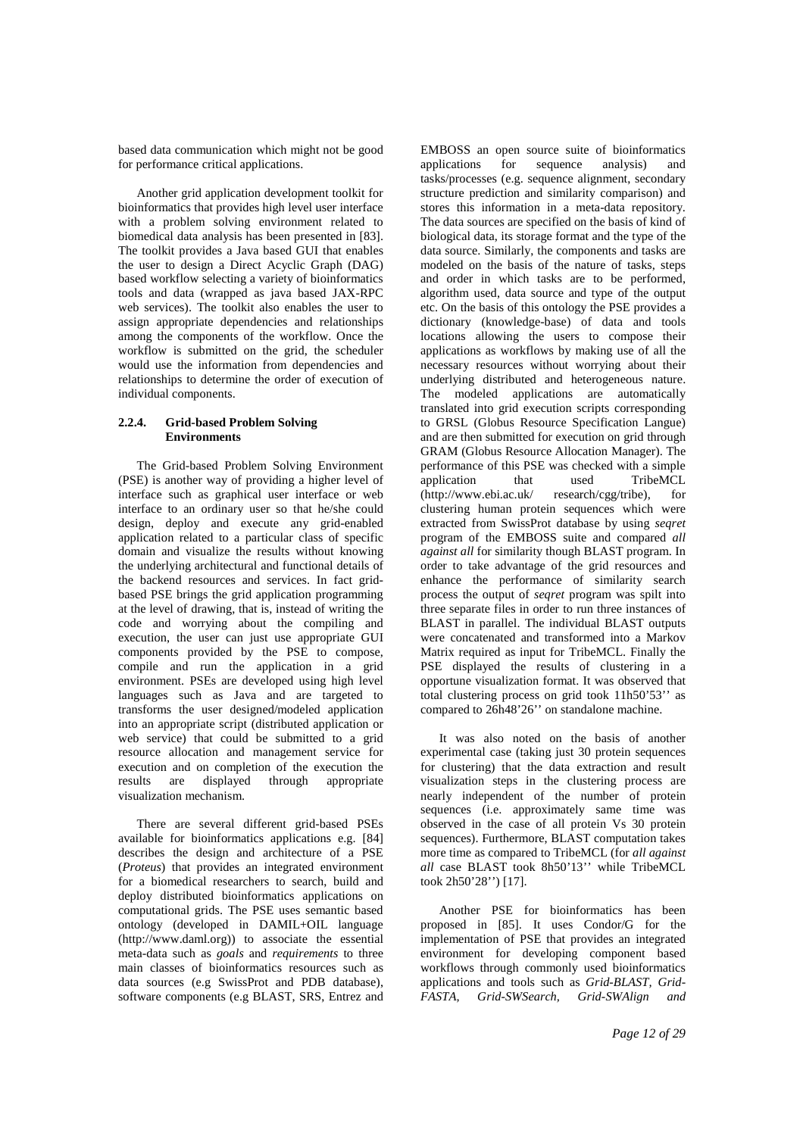based data communication which might not be good for performance critical applications.

Another grid application development toolkit for bioinformatics that provides high level user interface with a problem solving environment related to biomedical data analysis has been presented in [83]. The toolkit provides a Java based GUI that enables the user to design a Direct Acyclic Graph (DAG) based workflow selecting a variety of bioinformatics tools and data (wrapped as java based JAX-RPC web services). The toolkit also enables the user to assign appropriate dependencies and relationships among the components of the workflow. Once the workflow is submitted on the grid, the scheduler would use the information from dependencies and relationships to determine the order of execution of individual components.

## **2.2.4. Grid-based Problem Solving Environments**

The Grid-based Problem Solving Environment (PSE) is another way of providing a higher level of interface such as graphical user interface or web interface to an ordinary user so that he/she could design, deploy and execute any grid-enabled application related to a particular class of specific domain and visualize the results without knowing the underlying architectural and functional details of the backend resources and services. In fact gridbased PSE brings the grid application programming at the level of drawing, that is, instead of writing the code and worrying about the compiling and execution, the user can just use appropriate GUI components provided by the PSE to compose, compile and run the application in a grid environment. PSEs are developed using high level languages such as Java and are targeted to transforms the user designed/modeled application into an appropriate script (distributed application or web service) that could be submitted to a grid resource allocation and management service for execution and on completion of the execution the results are displayed through appropriate visualization mechanism.

There are several different grid-based PSEs available for bioinformatics applications e.g. [84] describes the design and architecture of a PSE (*Proteus*) that provides an integrated environment for a biomedical researchers to search, build and deploy distributed bioinformatics applications on computational grids. The PSE uses semantic based ontology (developed in DAMIL+OIL language (http://www.daml.org)) to associate the essential meta-data such as *goals* and *requirements* to three main classes of bioinformatics resources such as data sources (e.g SwissProt and PDB database), software components (e.g BLAST, SRS, Entrez and

EMBOSS an open source suite of bioinformatics<br>applications for sequence analysis) and for sequence analysis) and tasks/processes (e.g. sequence alignment, secondary structure prediction and similarity comparison) and stores this information in a meta-data repository. The data sources are specified on the basis of kind of biological data, its storage format and the type of the data source. Similarly, the components and tasks are modeled on the basis of the nature of tasks, steps and order in which tasks are to be performed, algorithm used, data source and type of the output etc. On the basis of this ontology the PSE provides a dictionary (knowledge-base) of data and tools locations allowing the users to compose their applications as workflows by making use of all the necessary resources without worrying about their underlying distributed and heterogeneous nature. The modeled applications are automatically translated into grid execution scripts corresponding to GRSL (Globus Resource Specification Langue) and are then submitted for execution on grid through GRAM (Globus Resource Allocation Manager). The performance of this PSE was checked with a simple application that used TribeMCL<br>(http://www.ebi.ac.uk/ research/cgg/tribe), for research/cgg/tribe), for clustering human protein sequences which were extracted from SwissProt database by using *seqret* program of the EMBOSS suite and compared *all against all* for similarity though BLAST program. In order to take advantage of the grid resources and enhance the performance of similarity search process the output of *seqret* program was spilt into three separate files in order to run three instances of BLAST in parallel. The individual BLAST outputs were concatenated and transformed into a Markov Matrix required as input for TribeMCL. Finally the PSE displayed the results of clustering in a opportune visualization format. It was observed that total clustering process on grid took 11h50'53'' as compared to 26h48'26'' on standalone machine.

It was also noted on the basis of another experimental case (taking just 30 protein sequences for clustering) that the data extraction and result visualization steps in the clustering process are nearly independent of the number of protein sequences (i.e. approximately same time was observed in the case of all protein Vs 30 protein sequences). Furthermore, BLAST computation takes more time as compared to TribeMCL (for *all against all* case BLAST took 8h50'13" while TribeMCL took 2h50'28'') [17].

Another PSE for bioinformatics has been proposed in [85]. It uses Condor/G for the implementation of PSE that provides an integrated environment for developing component based workflows through commonly used bioinformatics applications and tools such as *Grid-BLAST, Grid-FASTA, Grid-SWSearch, Grid-SWAlign and*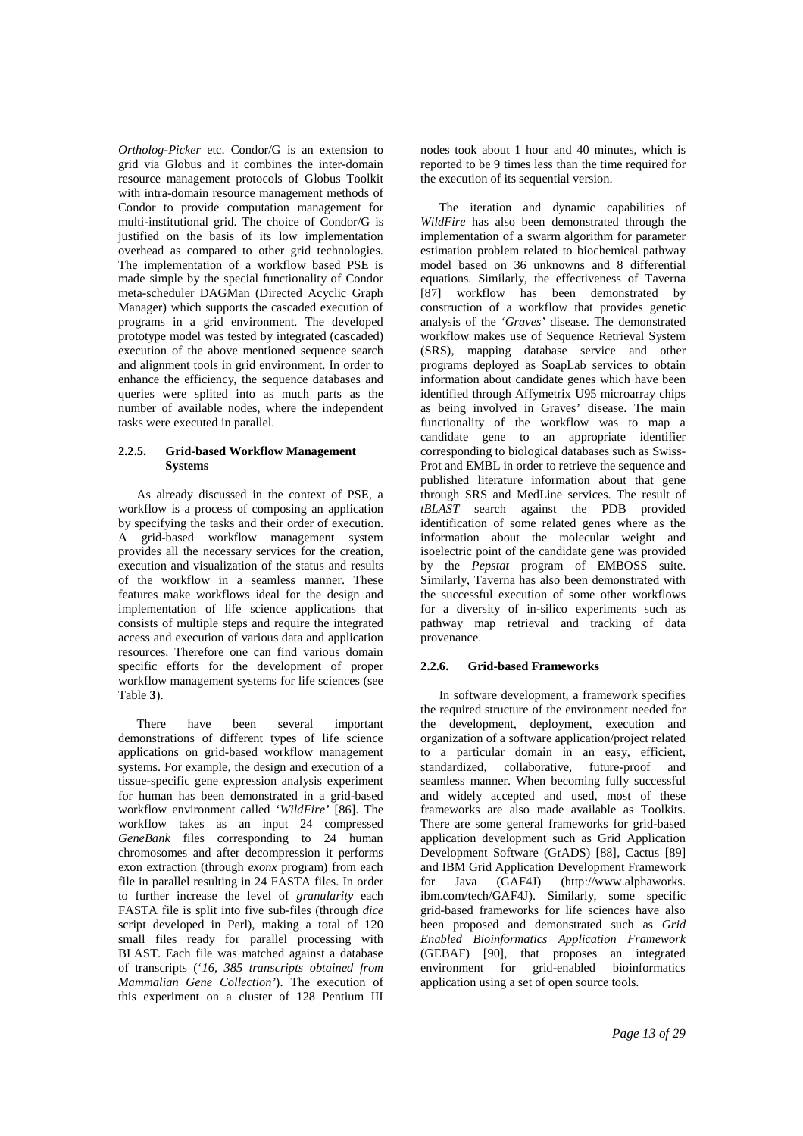*Ortholog-Picker* etc. Condor/G is an extension to grid via Globus and it combines the inter-domain resource management protocols of Globus Toolkit with intra-domain resource management methods of Condor to provide computation management for multi-institutional grid. The choice of Condor/G is justified on the basis of its low implementation overhead as compared to other grid technologies. The implementation of a workflow based PSE is made simple by the special functionality of Condor meta-scheduler DAGMan (Directed Acyclic Graph Manager) which supports the cascaded execution of programs in a grid environment. The developed prototype model was tested by integrated (cascaded) execution of the above mentioned sequence search and alignment tools in grid environment. In order to enhance the efficiency, the sequence databases and queries were splited into as much parts as the number of available nodes, where the independent tasks were executed in parallel.

## **2.2.5. Grid-based Workflow Management Systems**

As already discussed in the context of PSE, a workflow is a process of composing an application by specifying the tasks and their order of execution. A grid-based workflow management system provides all the necessary services for the creation, execution and visualization of the status and results of the workflow in a seamless manner. These features make workflows ideal for the design and implementation of life science applications that consists of multiple steps and require the integrated access and execution of various data and application resources. Therefore one can find various domain specific efforts for the development of proper workflow management systems for life sciences (see Table **3**).

There have been several important demonstrations of different types of life science applications on grid-based workflow management systems. For example, the design and execution of a tissue-specific gene expression analysis experiment for human has been demonstrated in a grid-based workflow environment called '*WildFire'* [86]. The workflow takes as an input 24 compressed *GeneBank* files corresponding to 24 human chromosomes and after decompression it performs exon extraction (through *exonx* program) from each file in parallel resulting in 24 FASTA files. In order to further increase the level of *granularity* each FASTA file is split into five sub-files (through *dice* script developed in Perl), making a total of 120 small files ready for parallel processing with BLAST. Each file was matched against a database of transcripts ('*16, 385 transcripts obtained from Mammalian Gene Collection'*). The execution of this experiment on a cluster of 128 Pentium III

nodes took about 1 hour and 40 minutes, which is reported to be 9 times less than the time required for the execution of its sequential version.

The iteration and dynamic capabilities of *WildFire* has also been demonstrated through the implementation of a swarm algorithm for parameter estimation problem related to biochemical pathway model based on 36 unknowns and 8 differential equations. Similarly, the effectiveness of Taverna [87] workflow has been demonstrated by construction of a workflow that provides genetic analysis of the *'Graves'* disease. The demonstrated workflow makes use of Sequence Retrieval System (SRS), mapping database service and other programs deployed as SoapLab services to obtain information about candidate genes which have been identified through Affymetrix U95 microarray chips as being involved in Graves' disease. The main functionality of the workflow was to map a candidate gene to an appropriate identifier corresponding to biological databases such as Swiss-Prot and EMBL in order to retrieve the sequence and published literature information about that gene through SRS and MedLine services. The result of *tBLAST* search against the PDB provided identification of some related genes where as the information about the molecular weight and isoelectric point of the candidate gene was provided by the *Pepstat* program of EMBOSS suite. Similarly, Taverna has also been demonstrated with the successful execution of some other workflows for a diversity of in-silico experiments such as pathway map retrieval and tracking of data provenance.

## **2.2.6. Grid-based Frameworks**

In software development, a framework specifies the required structure of the environment needed for the development, deployment, execution and organization of a software application/project related to a particular domain in an easy, efficient, standardized, collaborative, future-proof and seamless manner. When becoming fully successful and widely accepted and used, most of these frameworks are also made available as Toolkits. There are some general frameworks for grid-based application development such as Grid Application Development Software (GrADS) [88], Cactus [89] and IBM Grid Application Development Framework for Java (GAF4J) (http://www.alphaworks. ibm.com/tech/GAF4J). Similarly, some specific grid-based frameworks for life sciences have also been proposed and demonstrated such as *Grid Enabled Bioinformatics Application Framework* (GEBAF) [90], that proposes an integrated environment for grid-enabled bioinformatics application using a set of open source tools.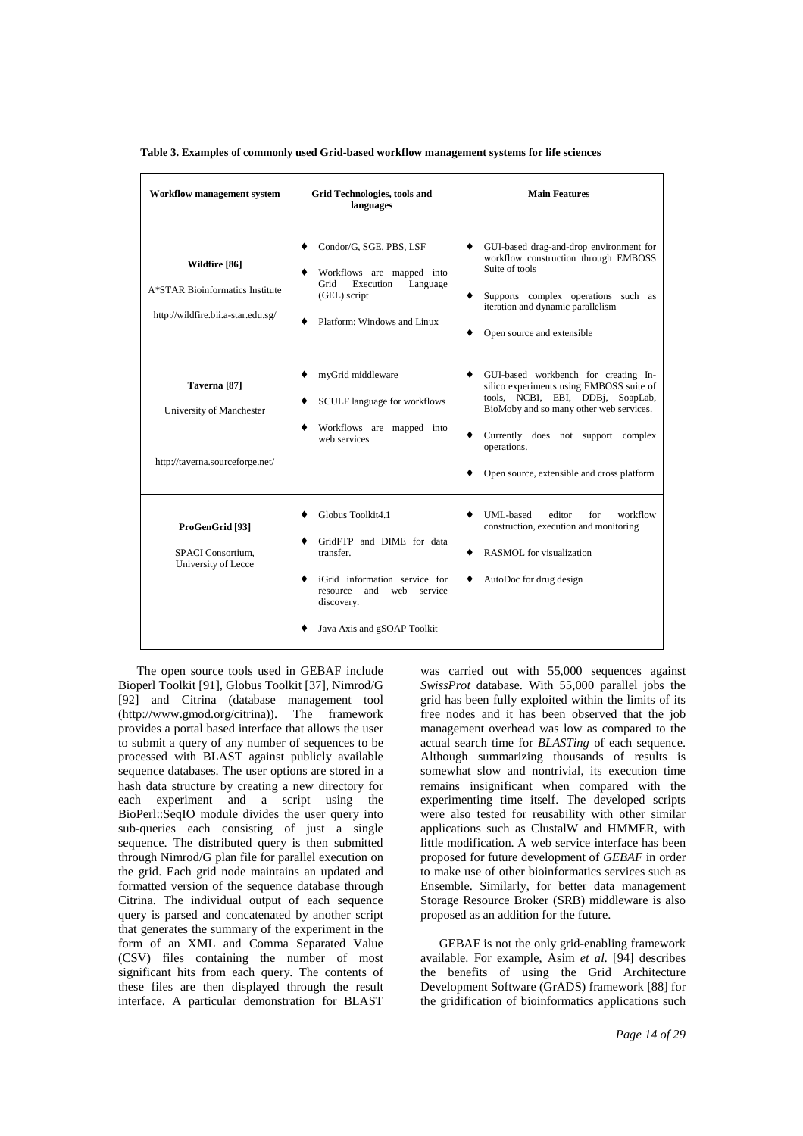**Table 3. Examples of commonly used Grid-based workflow management systems for life sciences** 

| <b>Workflow management system</b>                                                      | <b>Grid Technologies, tools and</b><br>languages                                                                                                                                      | <b>Main Features</b>                                                                                                                                                                                                                                                         |
|----------------------------------------------------------------------------------------|---------------------------------------------------------------------------------------------------------------------------------------------------------------------------------------|------------------------------------------------------------------------------------------------------------------------------------------------------------------------------------------------------------------------------------------------------------------------------|
| Wildfire [86]<br>A*STAR Bioinformatics Institute<br>http://wildfire.bii.a-star.edu.sg/ | Condor/G, SGE, PBS, LSF<br>٠<br>Workflows are mapped into<br>Execution<br>Grid<br>Language<br>(GEL) script<br>Platform: Windows and Linux                                             | GUI-based drag-and-drop environment for<br>٠<br>workflow construction through EMBOSS<br>Suite of tools<br>Supports complex operations such as<br>٠<br>iteration and dynamic parallelism<br>Open source and extensible                                                        |
| Taverna <sup>[87]</sup><br>University of Manchester<br>http://taverna.sourceforge.net/ | myGrid middleware<br>٠<br>SCULF language for workflows<br>٠<br>Workflows are mapped into<br>٠<br>web services                                                                         | GUI-based workbench for creating In-<br>٠<br>silico experiments using EMBOSS suite of<br>tools, NCBI, EBI, DDBj, SoapLab,<br>BioMoby and so many other web services.<br>Currently does not support complex<br>٠<br>operations.<br>Open source, extensible and cross platform |
| ProGenGrid [93]<br>SPACI Consortium,<br>University of Lecce                            | Globus Toolkit4.1<br>GridFTP and DIME for data<br>٠<br>transfer.<br>iGrid information service for<br>٠<br>and<br>web service<br>resource<br>discovery.<br>Java Axis and gSOAP Toolkit | UML-based<br>editor<br>for<br>workflow<br>construction, execution and monitoring<br><b>RASMOL</b> for visualization<br>٠<br>AutoDoc for drug design<br>٠                                                                                                                     |

The open source tools used in GEBAF include Bioperl Toolkit [91], Globus Toolkit [37], Nimrod/G [92] and Citrina (database management tool (http://www.gmod.org/citrina)). The framework provides a portal based interface that allows the user to submit a query of any number of sequences to be processed with BLAST against publicly available sequence databases. The user options are stored in a hash data structure by creating a new directory for each experiment and a script using the BioPerl::SeqIO module divides the user query into sub-queries each consisting of just a single sequence. The distributed query is then submitted through Nimrod/G plan file for parallel execution on the grid. Each grid node maintains an updated and formatted version of the sequence database through Citrina. The individual output of each sequence query is parsed and concatenated by another script that generates the summary of the experiment in the form of an XML and Comma Separated Value (CSV) files containing the number of most significant hits from each query. The contents of these files are then displayed through the result interface. A particular demonstration for BLAST

was carried out with 55,000 sequences against *SwissProt* database. With 55,000 parallel jobs the grid has been fully exploited within the limits of its free nodes and it has been observed that the job management overhead was low as compared to the actual search time for *BLASTing* of each sequence. Although summarizing thousands of results is somewhat slow and nontrivial, its execution time remains insignificant when compared with the experimenting time itself. The developed scripts were also tested for reusability with other similar applications such as ClustalW and HMMER, with little modification. A web service interface has been proposed for future development of *GEBAF* in order to make use of other bioinformatics services such as Ensemble. Similarly, for better data management Storage Resource Broker (SRB) middleware is also proposed as an addition for the future.

GEBAF is not the only grid-enabling framework available. For example, Asim *et al.* [94] describes the benefits of using the Grid Architecture Development Software (GrADS) framework [88] for the gridification of bioinformatics applications such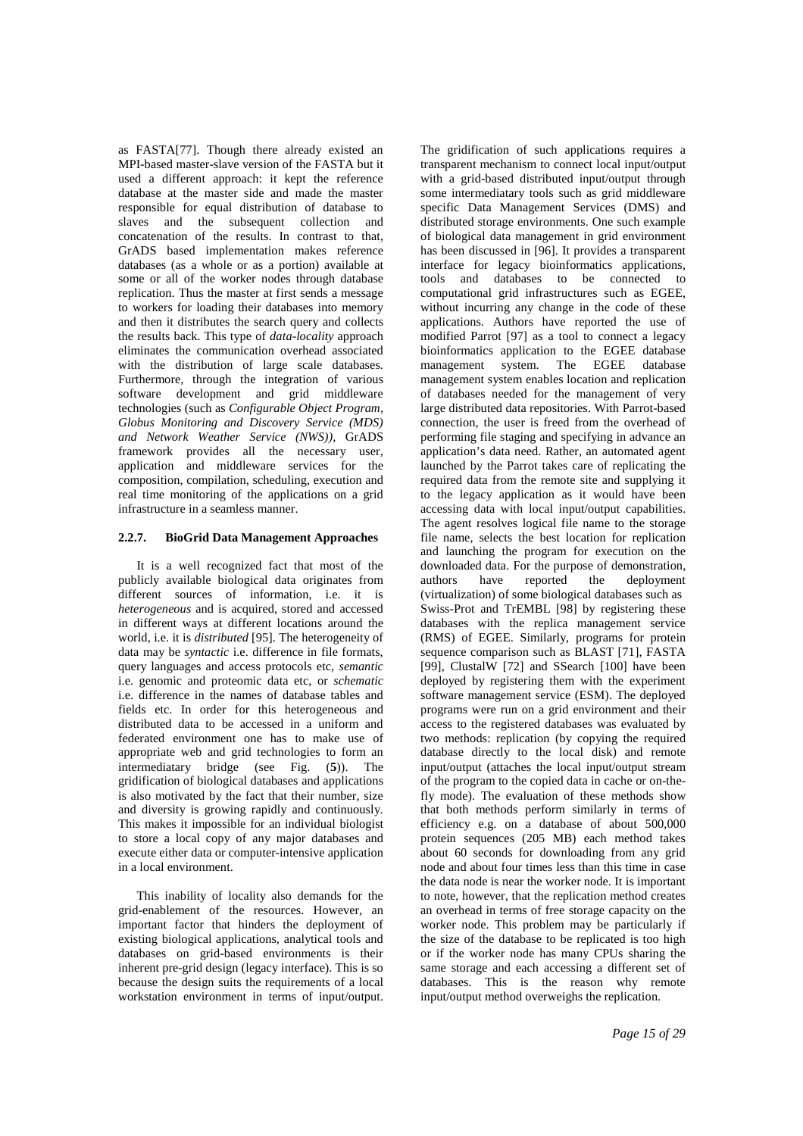as FASTA[77]. Though there already existed an MPI-based master-slave version of the FASTA but it used a different approach: it kept the reference database at the master side and made the master responsible for equal distribution of database to slaves and the subsequent collection and concatenation of the results. In contrast to that, GrADS based implementation makes reference databases (as a whole or as a portion) available at some or all of the worker nodes through database replication. Thus the master at first sends a message to workers for loading their databases into memory and then it distributes the search query and collects the results back. This type of *data-locality* approach eliminates the communication overhead associated with the distribution of large scale databases. Furthermore, through the integration of various software development and grid middleware technologies (such as *Configurable Object Program, Globus Monitoring and Discovery Service (MDS) and Network Weather Service (NWS)),* GrADS framework provides all the necessary user, application and middleware services for the composition, compilation, scheduling, execution and real time monitoring of the applications on a grid infrastructure in a seamless manner.

## **2.2.7. BioGrid Data Management Approaches**

It is a well recognized fact that most of the publicly available biological data originates from different sources of information, i.e. it is *heterogeneous* and is acquired, stored and accessed in different ways at different locations around the world, i.e. it is *distributed* [95]*.* The heterogeneity of data may be *syntactic* i.e. difference in file formats, query languages and access protocols etc, *semantic* i.e. genomic and proteomic data etc, or *schematic* i.e. difference in the names of database tables and fields etc. In order for this heterogeneous and distributed data to be accessed in a uniform and federated environment one has to make use of appropriate web and grid technologies to form an intermediatary bridge (see Fig. (**5**)). The gridification of biological databases and applications is also motivated by the fact that their number, size and diversity is growing rapidly and continuously. This makes it impossible for an individual biologist to store a local copy of any major databases and execute either data or computer-intensive application in a local environment.

This inability of locality also demands for the grid-enablement of the resources. However, an important factor that hinders the deployment of existing biological applications, analytical tools and databases on grid-based environments is their inherent pre-grid design (legacy interface). This is so because the design suits the requirements of a local workstation environment in terms of input/output. The gridification of such applications requires a transparent mechanism to connect local input/output with a grid-based distributed input/output through some intermediatary tools such as grid middleware specific Data Management Services (DMS) and distributed storage environments. One such example of biological data management in grid environment has been discussed in [96]. It provides a transparent interface for legacy bioinformatics applications, tools and databases to be connected to computational grid infrastructures such as EGEE, without incurring any change in the code of these applications. Authors have reported the use of modified Parrot [97] as a tool to connect a legacy bioinformatics application to the EGEE database management system. The EGEE database management system enables location and replication of databases needed for the management of very large distributed data repositories. With Parrot-based connection, the user is freed from the overhead of performing file staging and specifying in advance an application's data need. Rather, an automated agent launched by the Parrot takes care of replicating the required data from the remote site and supplying it to the legacy application as it would have been accessing data with local input/output capabilities. The agent resolves logical file name to the storage file name, selects the best location for replication and launching the program for execution on the downloaded data. For the purpose of demonstration, authors have reported the deployment (virtualization) of some biological databases such as Swiss-Prot and TrEMBL [98] by registering these databases with the replica management service (RMS) of EGEE. Similarly, programs for protein sequence comparison such as BLAST [71], FASTA [99], ClustalW [72] and SSearch [100] have been deployed by registering them with the experiment software management service (ESM). The deployed programs were run on a grid environment and their access to the registered databases was evaluated by two methods: replication (by copying the required database directly to the local disk) and remote input/output (attaches the local input/output stream of the program to the copied data in cache or on-thefly mode). The evaluation of these methods show that both methods perform similarly in terms of efficiency e.g. on a database of about 500,000 protein sequences (205 MB) each method takes about 60 seconds for downloading from any grid node and about four times less than this time in case the data node is near the worker node. It is important to note, however, that the replication method creates an overhead in terms of free storage capacity on the worker node. This problem may be particularly if the size of the database to be replicated is too high or if the worker node has many CPUs sharing the same storage and each accessing a different set of databases. This is the reason why remote input/output method overweighs the replication.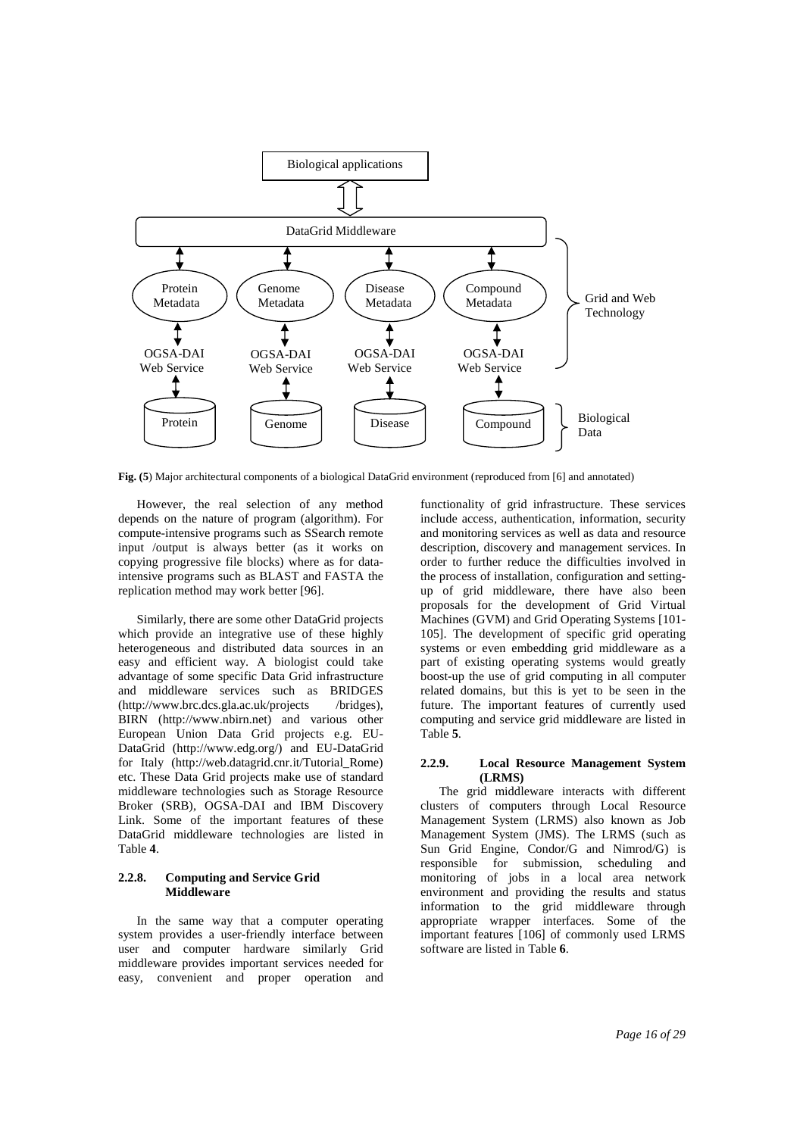

**Fig. (5**) Major architectural components of a biological DataGrid environment (reproduced from [6] and annotated)

However, the real selection of any method depends on the nature of program (algorithm). For compute-intensive programs such as SSearch remote input /output is always better (as it works on copying progressive file blocks) where as for dataintensive programs such as BLAST and FASTA the replication method may work better [96].

Similarly, there are some other DataGrid projects which provide an integrative use of these highly heterogeneous and distributed data sources in an easy and efficient way. A biologist could take advantage of some specific Data Grid infrastructure and middleware services such as BRIDGES (http://www.brc.dcs.gla.ac.uk/projects /bridges), BIRN (http://www.nbirn.net) and various other European Union Data Grid projects e.g. EU-DataGrid (http://www.edg.org/) and EU-DataGrid for Italy (http://web.datagrid.cnr.it/Tutorial\_Rome) etc. These Data Grid projects make use of standard middleware technologies such as Storage Resource Broker (SRB), OGSA-DAI and IBM Discovery Link. Some of the important features of these DataGrid middleware technologies are listed in Table **4**.

#### **2.2.8. Computing and Service Grid Middleware**

In the same way that a computer operating system provides a user-friendly interface between user and computer hardware similarly Grid middleware provides important services needed for easy, convenient and proper operation and functionality of grid infrastructure. These services include access, authentication, information, security and monitoring services as well as data and resource description, discovery and management services. In order to further reduce the difficulties involved in the process of installation, configuration and settingup of grid middleware, there have also been proposals for the development of Grid Virtual Machines (GVM) and Grid Operating Systems [101- 105]. The development of specific grid operating systems or even embedding grid middleware as a part of existing operating systems would greatly boost-up the use of grid computing in all computer related domains, but this is yet to be seen in the future. The important features of currently used computing and service grid middleware are listed in Table **5**.

#### **2.2.9. Local Resource Management System (LRMS)**

The grid middleware interacts with different clusters of computers through Local Resource Management System (LRMS) also known as Job Management System (JMS). The LRMS (such as Sun Grid Engine, Condor/G and Nimrod/G) is responsible for submission, scheduling and monitoring of jobs in a local area network environment and providing the results and status information to the grid middleware through appropriate wrapper interfaces. Some of the important features [106] of commonly used LRMS software are listed in Table **6**.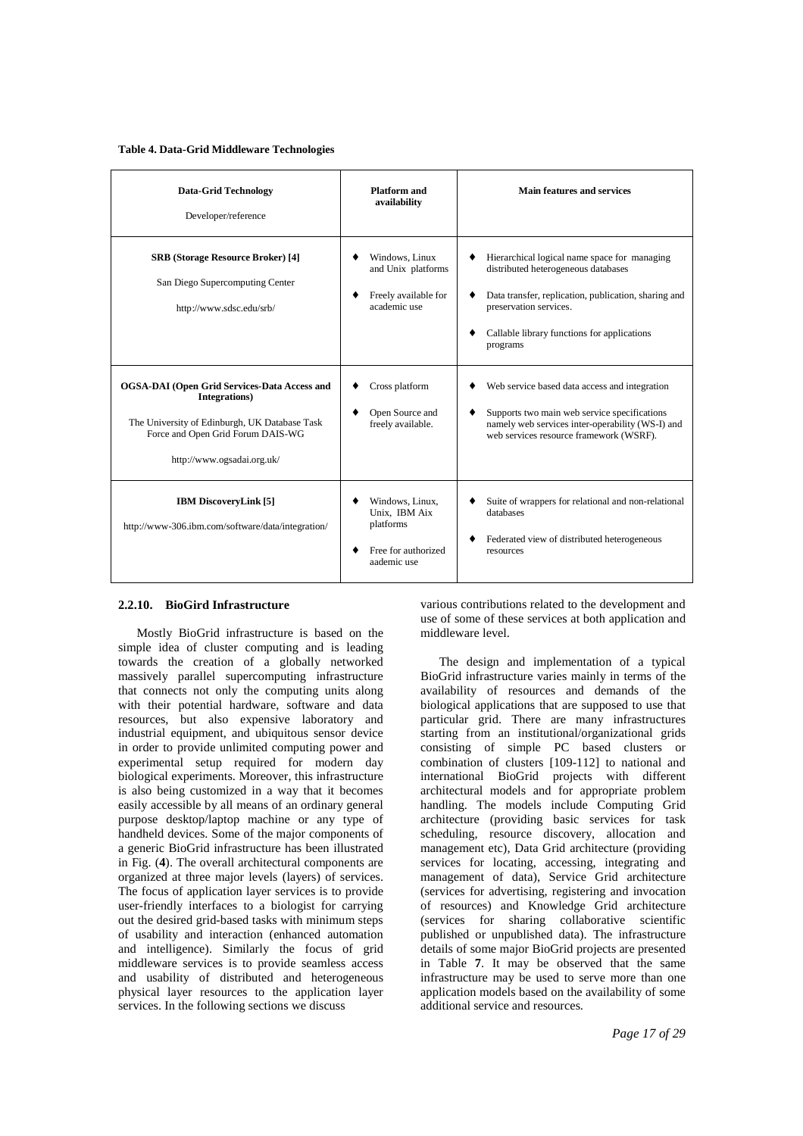#### **Table 4. Data-Grid Middleware Technologies**

| <b>Data-Grid Technology</b><br>Developer/reference                                                                                                                                       | <b>Platform and</b><br>availability                                                 | Main features and services                                                                                                                                                                                                                      |
|------------------------------------------------------------------------------------------------------------------------------------------------------------------------------------------|-------------------------------------------------------------------------------------|-------------------------------------------------------------------------------------------------------------------------------------------------------------------------------------------------------------------------------------------------|
| <b>SRB</b> (Storage Resource Broker) [4]<br>San Diego Supercomputing Center<br>http://www.sdsc.edu/srb/                                                                                  | Windows, Linux<br>and Unix platforms<br>Freely available for<br>٠<br>academic use   | Hierarchical logical name space for managing<br>٠<br>distributed heterogeneous databases<br>Data transfer, replication, publication, sharing and<br>٠<br>preservation services.<br>Callable library functions for applications<br>٠<br>programs |
| <b>OGSA-DAI</b> (Open Grid Services-Data Access and<br>Integrations)<br>The University of Edinburgh, UK Database Task<br>Force and Open Grid Forum DAIS-WG<br>http://www.ogsadai.org.uk/ | Cross platform<br>Open Source and<br>freely available.                              | Web service based data access and integration<br>Supports two main web service specifications<br>٠<br>namely web services inter-operability (WS-I) and<br>web services resource framework (WSRF).                                               |
| <b>IBM DiscoveryLink [5]</b><br>http://www-306.ibm.com/software/data/integration/                                                                                                        | Windows, Linux,<br>Unix, IBM Aix<br>platforms<br>Free for authorized<br>aademic use | Suite of wrappers for relational and non-relational<br>databases<br>Federated view of distributed heterogeneous<br>٠<br>resources                                                                                                               |

#### **2.2.10. BioGird Infrastructure**

Mostly BioGrid infrastructure is based on the simple idea of cluster computing and is leading towards the creation of a globally networked massively parallel supercomputing infrastructure that connects not only the computing units along with their potential hardware, software and data resources, but also expensive laboratory and industrial equipment, and ubiquitous sensor device in order to provide unlimited computing power and experimental setup required for modern day biological experiments. Moreover, this infrastructure is also being customized in a way that it becomes easily accessible by all means of an ordinary general purpose desktop/laptop machine or any type of handheld devices. Some of the major components of a generic BioGrid infrastructure has been illustrated in Fig. (**4**). The overall architectural components are organized at three major levels (layers) of services. The focus of application layer services is to provide user-friendly interfaces to a biologist for carrying out the desired grid-based tasks with minimum steps of usability and interaction (enhanced automation and intelligence). Similarly the focus of grid middleware services is to provide seamless access and usability of distributed and heterogeneous physical layer resources to the application layer services. In the following sections we discuss

various contributions related to the development and use of some of these services at both application and middleware level.

The design and implementation of a typical BioGrid infrastructure varies mainly in terms of the availability of resources and demands of the biological applications that are supposed to use that particular grid. There are many infrastructures starting from an institutional/organizational grids consisting of simple PC based clusters or combination of clusters [109-112] to national and international BioGrid projects with different architectural models and for appropriate problem handling. The models include Computing Grid architecture (providing basic services for task scheduling, resource discovery, allocation and management etc), Data Grid architecture (providing services for locating, accessing, integrating and management of data), Service Grid architecture (services for advertising, registering and invocation of resources) and Knowledge Grid architecture (services for sharing collaborative scientific published or unpublished data). The infrastructure details of some major BioGrid projects are presented in Table **7**. It may be observed that the same infrastructure may be used to serve more than one application models based on the availability of some additional service and resources.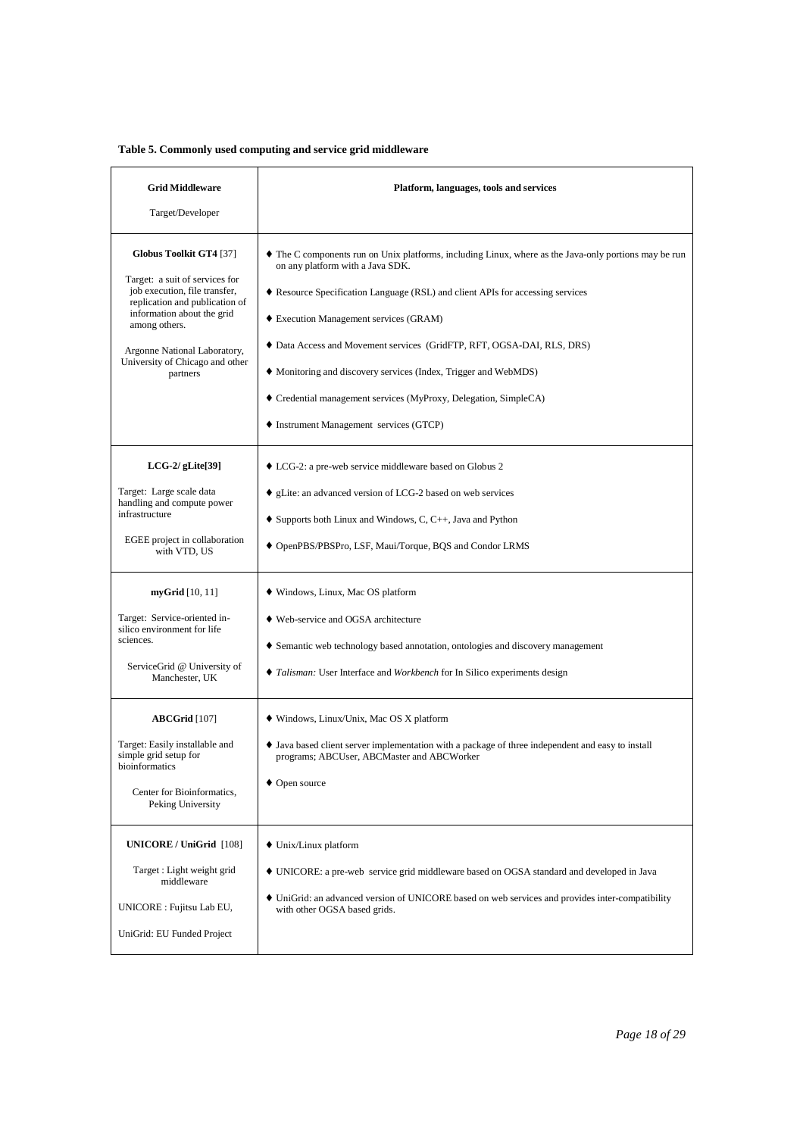# **Table 5. Commonly used computing and service grid middleware**

| <b>Grid Middleware</b>                                                                                                                                                                                                                                     | Platform, languages, tools and services                                                                                                                                                                                                                                                                                                                                                                                                                                                                                           |
|------------------------------------------------------------------------------------------------------------------------------------------------------------------------------------------------------------------------------------------------------------|-----------------------------------------------------------------------------------------------------------------------------------------------------------------------------------------------------------------------------------------------------------------------------------------------------------------------------------------------------------------------------------------------------------------------------------------------------------------------------------------------------------------------------------|
| Target/Developer                                                                                                                                                                                                                                           |                                                                                                                                                                                                                                                                                                                                                                                                                                                                                                                                   |
| Globus Toolkit GT4 [37]<br>Target: a suit of services for<br>job execution, file transfer,<br>replication and publication of<br>information about the grid<br>among others.<br>Argonne National Laboratory,<br>University of Chicago and other<br>partners | • The C components run on Unix platforms, including Linux, where as the Java-only portions may be run<br>on any platform with a Java SDK.<br>♦ Resource Specification Language (RSL) and client APIs for accessing services<br>• Execution Management services (GRAM)<br>♦ Data Access and Movement services (GridFTP, RFT, OGSA-DAI, RLS, DRS)<br>• Monitoring and discovery services (Index, Trigger and WebMDS)<br>• Credential management services (MyProxy, Delegation, SimpleCA)<br>• Instrument Management services (GTCP) |
| $LCG-2/gLife[39]$<br>Target: Large scale data<br>handling and compute power<br>infrastructure<br>EGEE project in collaboration<br>with VTD, US                                                                                                             | • LCG-2: a pre-web service middleware based on Globus 2<br>• gLite: an advanced version of LCG-2 based on web services<br>$\bullet$ Supports both Linux and Windows, C, C++, Java and Python<br>◆ OpenPBS/PBSPro, LSF, Maui/Torque, BQS and Condor LRMS                                                                                                                                                                                                                                                                           |
| $myGrid$ [10, 11]<br>Target: Service-oriented in-<br>silico environment for life<br>sciences.<br>ServiceGrid @ University of<br>Manchester, UK                                                                                                             | • Windows, Linux, Mac OS platform<br>• Web-service and OGSA architecture<br>• Semantic web technology based annotation, ontologies and discovery management<br>• Talisman: User Interface and Workbench for In Silico experiments design                                                                                                                                                                                                                                                                                          |
| $ABCGrid$ [107]<br>Target: Easily installable and<br>simple grid setup for<br>bioinformatics<br>Center for Bioinformatics,<br>Peking University                                                                                                            | • Windows, Linux/Unix, Mac OS X platform<br>• Java based client server implementation with a package of three independent and easy to install<br>programs; ABCUser, ABCMaster and ABCWorker<br>$\bullet$ Open source                                                                                                                                                                                                                                                                                                              |
| UNICORE / UniGrid [108]<br>Target : Light weight grid<br>middleware<br>UNICORE : Fujitsu Lab EU,<br>UniGrid: EU Funded Project                                                                                                                             | • Unix/Linux platform<br>• UNICORE: a pre-web service grid middleware based on OGSA standard and developed in Java<br>• UniGrid: an advanced version of UNICORE based on web services and provides inter-compatibility<br>with other OGSA based grids.                                                                                                                                                                                                                                                                            |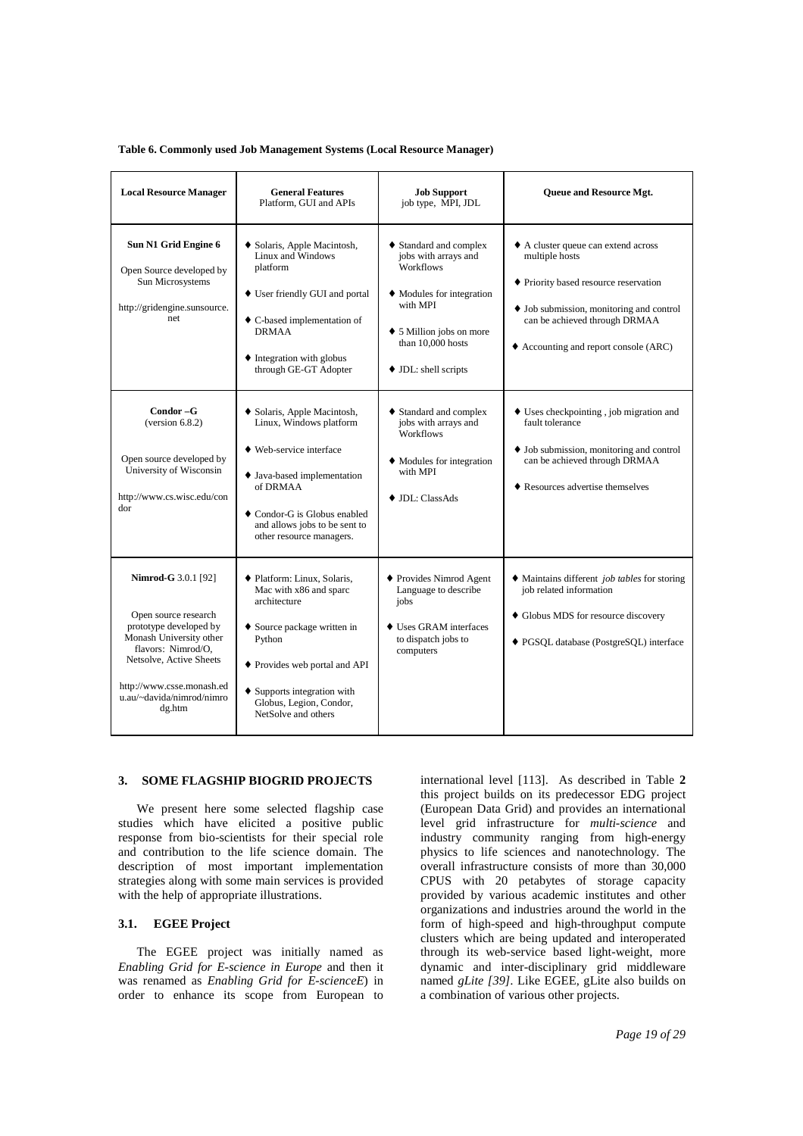#### **Table 6. Commonly used Job Management Systems (Local Resource Manager)**

| <b>Local Resource Manager</b>                                                                                                                                                                                                | <b>General Features</b><br>Platform, GUI and APIs                                                                                                                                                                                          | <b>Job Support</b><br>job type, MPI, JDL                                                                                                                                             | Queue and Resource Mgt.                                                                                                                                                                                                              |
|------------------------------------------------------------------------------------------------------------------------------------------------------------------------------------------------------------------------------|--------------------------------------------------------------------------------------------------------------------------------------------------------------------------------------------------------------------------------------------|--------------------------------------------------------------------------------------------------------------------------------------------------------------------------------------|--------------------------------------------------------------------------------------------------------------------------------------------------------------------------------------------------------------------------------------|
| Sun N1 Grid Engine 6<br>Open Source developed by<br>Sun Microsystems<br>http://gridengine.sunsource.<br>net                                                                                                                  | ◆ Solaris, Apple Macintosh,<br>Linux and Windows<br>platform<br>• User friendly GUI and portal<br>• C-based implementation of<br><b>DRMAA</b><br>• Integration with globus<br>through GE-GT Adopter                                        | ◆ Standard and complex<br>jobs with arrays and<br><b>Workflows</b><br>• Modules for integration<br>with MPI<br>• 5 Million jobs on more<br>than 10,000 hosts<br>• JDL: shell scripts | A cluster queue can extend across<br>multiple hosts<br>• Priority based resource reservation<br>$\bullet$ Job submission, monitoring and control<br>can be achieved through DRMAA<br>$\triangle$ Accounting and report console (ARC) |
| Condor-G<br>(version 6.8.2)<br>Open source developed by<br>University of Wisconsin<br>http://www.cs.wisc.edu/con<br>dor                                                                                                      | ◆ Solaris, Apple Macintosh,<br>Linux, Windows platform<br>• Web-service interface<br>• Java-based implementation<br>of DRMAA<br>♦ Condor-G is Globus enabled<br>and allows jobs to be sent to<br>other resource managers.                  | • Standard and complex<br>jobs with arrays and<br>Workflows<br>• Modules for integration<br>with MPI<br>$\bullet$ JDL: ClassAds                                                      | $\bullet$ Uses checkpointing, job migration and<br>fault tolerance<br>$\bullet$ Job submission, monitoring and control<br>can be achieved through DRMAA<br>• Resources advertise themselves                                          |
| <b>Nimrod-G</b> 3.0.1 [92]<br>Open source research<br>prototype developed by<br>Monash University other<br>flavors: Nimrod/O.<br>Netsolve, Active Sheets<br>http://www.csse.monash.ed<br>u.au/~davida/nimrod/nimro<br>dg.htm | ♦ Platform: Linux, Solaris,<br>Mac with x86 and sparc<br>architecture<br>• Source package written in<br>Python<br>♦ Provides web portal and API<br>$\triangle$ Supports integration with<br>Globus, Legion, Condor,<br>NetSolve and others | ♦ Provides Nimrod Agent<br>Language to describe<br>jobs<br>• Uses GRAM interfaces<br>to dispatch jobs to<br>computers                                                                | $\bullet$ Maintains different <i>job tables</i> for storing<br>job related information<br>• Globus MDS for resource discovery<br>◆ PGSQL database (PostgreSQL) interface                                                             |

#### **3. SOME FLAGSHIP BIOGRID PROJECTS**

We present here some selected flagship case studies which have elicited a positive public response from bio-scientists for their special role and contribution to the life science domain. The description of most important implementation strategies along with some main services is provided with the help of appropriate illustrations.

## **3.1. EGEE Project**

The EGEE project was initially named as *Enabling Grid for E-science in Europe* and then it was renamed as *Enabling Grid for E-scienceE*) in order to enhance its scope from European to international level [113]. As described in Table **2** this project builds on its predecessor EDG project (European Data Grid) and provides an international level grid infrastructure for *multi-science* and industry community ranging from high-energy physics to life sciences and nanotechnology. The overall infrastructure consists of more than 30,000 CPUS with 20 petabytes of storage capacity provided by various academic institutes and other organizations and industries around the world in the form of high-speed and high-throughput compute clusters which are being updated and interoperated through its web-service based light-weight, more dynamic and inter-disciplinary grid middleware named *gLite [39].* Like EGEE, gLite also builds on a combination of various other projects.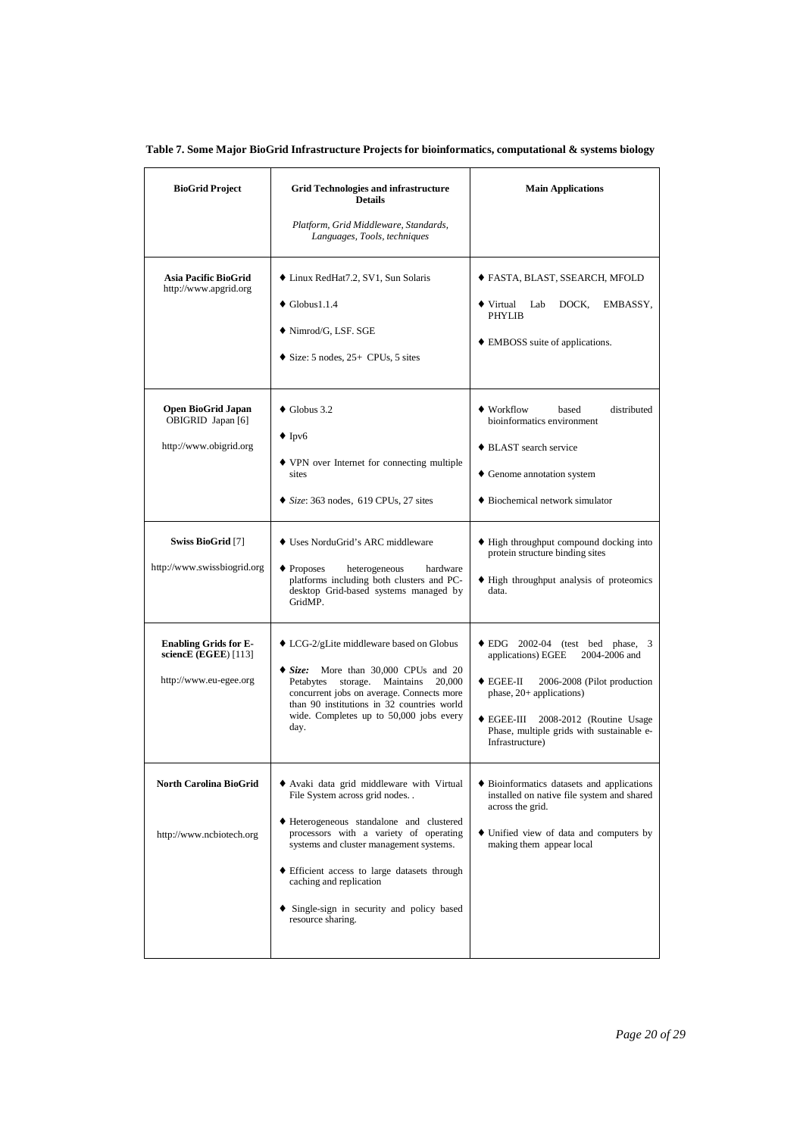| <b>BioGrid Project</b>                                                            | <b>Grid Technologies and infrastructure</b><br><b>Details</b>                                                                                                                                                                                                                                                                                       | <b>Main Applications</b>                                                                                                                                                                                                                                                                |
|-----------------------------------------------------------------------------------|-----------------------------------------------------------------------------------------------------------------------------------------------------------------------------------------------------------------------------------------------------------------------------------------------------------------------------------------------------|-----------------------------------------------------------------------------------------------------------------------------------------------------------------------------------------------------------------------------------------------------------------------------------------|
|                                                                                   | Platform, Grid Middleware, Standards,<br>Languages, Tools, techniques                                                                                                                                                                                                                                                                               |                                                                                                                                                                                                                                                                                         |
| Asia Pacific BioGrid<br>http://www.apgrid.org                                     | ◆ Linux RedHat7.2, SV1, Sun Solaris<br>$\bullet$ Globus1.1.4<br>◆ Nimrod/G, LSF. SGE<br>$\bullet$ Size: 5 nodes, 25+ CPUs, 5 sites                                                                                                                                                                                                                  | ◆ FASTA, BLAST, SSEARCH, MFOLD<br>$\blacklozenge$ Virtual<br>Lab<br>DOCK,<br>EMBASSY,<br><b>PHYLIB</b><br>• EMBOSS suite of applications.                                                                                                                                               |
| Open BioGrid Japan<br>OBIGRID Japan [6]<br>http://www.obigrid.org                 | $\bullet$ Globus 3.2<br>$\bullet$ Ipv6<br>• VPN over Internet for connecting multiple<br>sites<br>$\bullet$ Size: 363 nodes, 619 CPUs, 27 sites                                                                                                                                                                                                     | • Workflow<br>distributed<br>based<br>bioinformatics environment<br>♦ BLAST search service<br>• Genome annotation system<br>• Biochemical network simulator                                                                                                                             |
| Swiss BioGrid [7]<br>http://www.swissbiogrid.org                                  | • Uses NorduGrid's ARC middleware<br>$\bullet$ Proposes<br>heterogeneous<br>hardware<br>platforms including both clusters and PC-<br>desktop Grid-based systems managed by<br>GridMP.                                                                                                                                                               | • High throughput compound docking into<br>protein structure binding sites<br>• High throughput analysis of proteomics<br>data.                                                                                                                                                         |
| <b>Enabling Grids for E-</b><br>scienc $E$ (EGEE) [113]<br>http://www.eu-egee.org | • LCG-2/gLite middleware based on Globus<br>Size: More than 30,000 CPUs and 20<br>storage. Maintains<br>Petabytes<br>20,000<br>concurrent jobs on average. Connects more<br>than 90 institutions in 32 countries world<br>wide. Completes up to 50,000 jobs every<br>day.                                                                           | $\bullet$ EDG 2002-04 (test bed phase, 3<br>applications) EGEE<br>2004-2006 and<br>$\bullet$ EGEE-II<br>2006-2008 (Pilot production<br>phase, 20+ applications)<br>$\blacklozenge$ EGEE-III<br>2008-2012 (Routine Usage<br>Phase, multiple grids with sustainable e-<br>Infrastructure) |
| North Carolina BioGrid<br>http://www.ncbiotech.org                                | Avaki data grid middleware with Virtual<br>File System across grid nodes<br>Heterogeneous standalone and clustered<br>processors with a variety of operating<br>systems and cluster management systems.<br>Efficient access to large datasets through<br>caching and replication<br>• Single-sign in security and policy based<br>resource sharing. | • Bioinformatics datasets and applications<br>installed on native file system and shared<br>across the grid.<br>• Unified view of data and computers by<br>making them appear local                                                                                                     |

 **Table 7. Some Major BioGrid Infrastructure Projects for bioinformatics, computational & systems biology**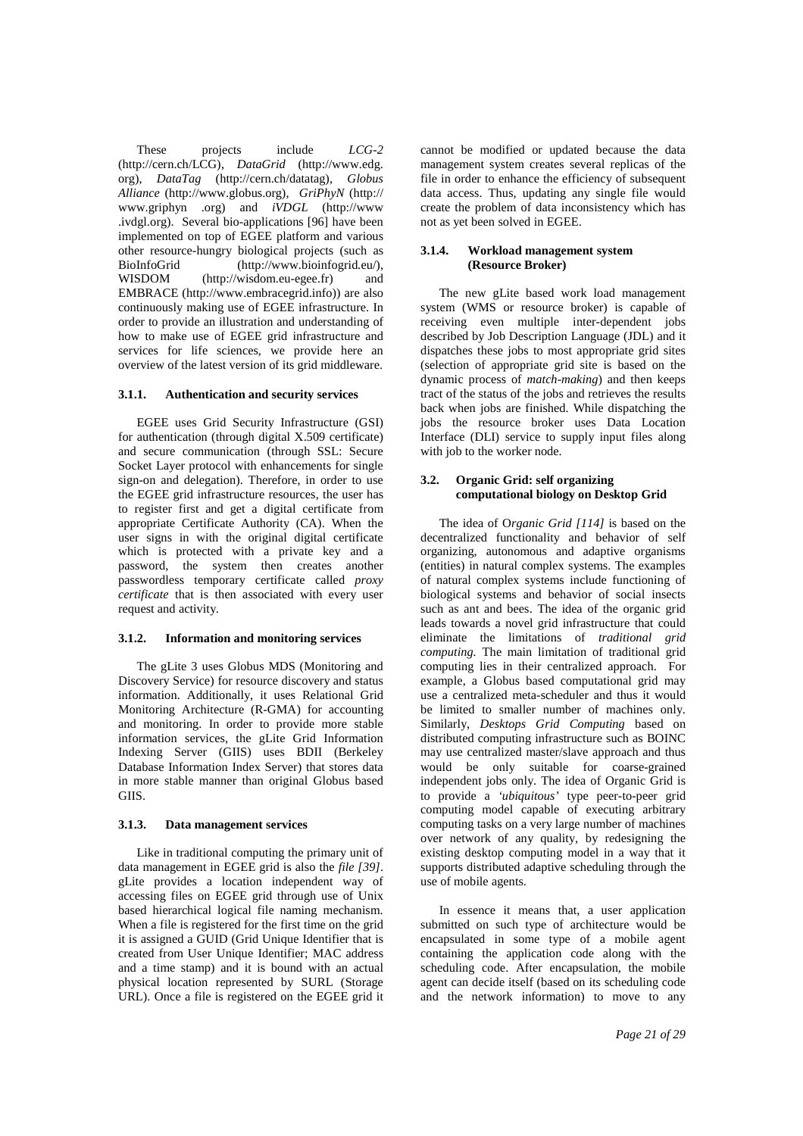These projects include *LCG-2* (http://cern.ch/LCG), *DataGrid* (http://www.edg. org), *DataTag* (http://cern.ch/datatag), *Globus Alliance* (http://www.globus.org), *GriPhyN* (http:// www.griphyn .org) and *iVDGL* (http://www .ivdgl.org). Several bio-applications [96] have been implemented on top of EGEE platform and various other resource-hungry biological projects (such as BioInfoGrid (http://www.bioinfogrid.eu/), WISDOM (http://wisdom.eu-egee.fr) and EMBRACE (http://www.embracegrid.info)) are also continuously making use of EGEE infrastructure. In order to provide an illustration and understanding of how to make use of EGEE grid infrastructure and services for life sciences, we provide here an overview of the latest version of its grid middleware.

#### **3.1.1. Authentication and security services**

EGEE uses Grid Security Infrastructure (GSI) for authentication (through digital X.509 certificate) and secure communication (through SSL: Secure Socket Layer protocol with enhancements for single sign-on and delegation). Therefore, in order to use the EGEE grid infrastructure resources, the user has to register first and get a digital certificate from appropriate Certificate Authority (CA). When the user signs in with the original digital certificate which is protected with a private key and a password, the system then creates another passwordless temporary certificate called *proxy certificate* that is then associated with every user request and activity.

#### **3.1.2. Information and monitoring services**

The gLite 3 uses Globus MDS (Monitoring and Discovery Service) for resource discovery and status information. Additionally, it uses Relational Grid Monitoring Architecture (R-GMA) for accounting and monitoring. In order to provide more stable information services, the gLite Grid Information Indexing Server (GIIS) uses BDII (Berkeley Database Information Index Server) that stores data in more stable manner than original Globus based GIIS.

#### **3.1.3. Data management services**

Like in traditional computing the primary unit of data management in EGEE grid is also the *file [39]*. gLite provides a location independent way of accessing files on EGEE grid through use of Unix based hierarchical logical file naming mechanism. When a file is registered for the first time on the grid it is assigned a GUID (Grid Unique Identifier that is created from User Unique Identifier; MAC address and a time stamp) and it is bound with an actual physical location represented by SURL (Storage URL). Once a file is registered on the EGEE grid it cannot be modified or updated because the data management system creates several replicas of the file in order to enhance the efficiency of subsequent data access. Thus, updating any single file would create the problem of data inconsistency which has not as yet been solved in EGEE.

#### **3.1.4. Workload management system (Resource Broker)**

The new gLite based work load management system (WMS or resource broker) is capable of receiving even multiple inter-dependent jobs described by Job Description Language (JDL) and it dispatches these jobs to most appropriate grid sites (selection of appropriate grid site is based on the dynamic process of *match-making*) and then keeps tract of the status of the jobs and retrieves the results back when jobs are finished. While dispatching the jobs the resource broker uses Data Location Interface (DLI) service to supply input files along with job to the worker node.

#### **3.2. Organic Grid: self organizing computational biology on Desktop Grid**

The idea of O*rganic Grid [114]* is based on the decentralized functionality and behavior of self organizing, autonomous and adaptive organisms (entities) in natural complex systems. The examples of natural complex systems include functioning of biological systems and behavior of social insects such as ant and bees. The idea of the organic grid leads towards a novel grid infrastructure that could eliminate the limitations of *traditional grid computing.* The main limitation of traditional grid computing lies in their centralized approach. For example, a Globus based computational grid may use a centralized meta-scheduler and thus it would be limited to smaller number of machines only. Similarly, *Desktops Grid Computing* based on distributed computing infrastructure such as BOINC may use centralized master/slave approach and thus would be only suitable for coarse-grained independent jobs only. The idea of Organic Grid is to provide a *'ubiquitous'* type peer-to-peer grid computing model capable of executing arbitrary computing tasks on a very large number of machines over network of any quality, by redesigning the existing desktop computing model in a way that it supports distributed adaptive scheduling through the use of mobile agents.

In essence it means that, a user application submitted on such type of architecture would be encapsulated in some type of a mobile agent containing the application code along with the scheduling code. After encapsulation, the mobile agent can decide itself (based on its scheduling code and the network information) to move to any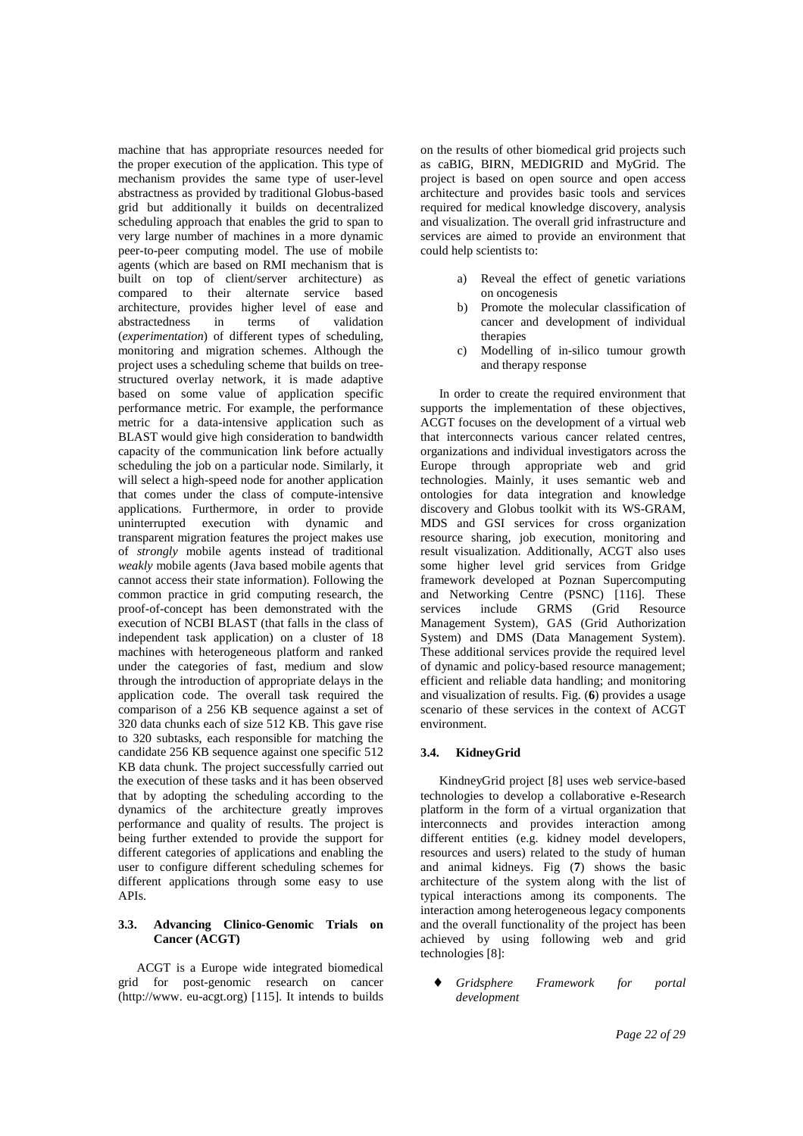machine that has appropriate resources needed for the proper execution of the application. This type of mechanism provides the same type of user-level abstractness as provided by traditional Globus-based grid but additionally it builds on decentralized scheduling approach that enables the grid to span to very large number of machines in a more dynamic peer-to-peer computing model. The use of mobile agents (which are based on RMI mechanism that is built on top of client/server architecture) as compared to their alternate service based architecture, provides higher level of ease and abstractedness in terms of validation (*experimentation*) of different types of scheduling, monitoring and migration schemes. Although the project uses a scheduling scheme that builds on treestructured overlay network, it is made adaptive based on some value of application specific performance metric. For example, the performance metric for a data-intensive application such as BLAST would give high consideration to bandwidth capacity of the communication link before actually scheduling the job on a particular node. Similarly, it will select a high-speed node for another application that comes under the class of compute-intensive applications. Furthermore, in order to provide uninterrupted execution with dynamic and transparent migration features the project makes use of *strongly* mobile agents instead of traditional *weakly* mobile agents (Java based mobile agents that cannot access their state information). Following the common practice in grid computing research, the proof-of-concept has been demonstrated with the execution of NCBI BLAST (that falls in the class of independent task application) on a cluster of 18 machines with heterogeneous platform and ranked under the categories of fast, medium and slow through the introduction of appropriate delays in the application code. The overall task required the comparison of a 256 KB sequence against a set of 320 data chunks each of size 512 KB. This gave rise to 320 subtasks, each responsible for matching the candidate 256 KB sequence against one specific 512 KB data chunk. The project successfully carried out the execution of these tasks and it has been observed that by adopting the scheduling according to the dynamics of the architecture greatly improves performance and quality of results. The project is being further extended to provide the support for different categories of applications and enabling the user to configure different scheduling schemes for different applications through some easy to use APIs.

## **3.3. Advancing Clinico-Genomic Trials on Cancer (ACGT)**

ACGT is a Europe wide integrated biomedical grid for post-genomic research on cancer (http://www. eu-acgt.org) [115]. It intends to builds

on the results of other biomedical grid projects such as caBIG, BIRN, MEDIGRID and MyGrid. The project is based on open source and open access architecture and provides basic tools and services required for medical knowledge discovery, analysis and visualization. The overall grid infrastructure and services are aimed to provide an environment that could help scientists to:

- a) Reveal the effect of genetic variations on oncogenesis
- b) Promote the molecular classification of cancer and development of individual therapies
- c) Modelling of in-silico tumour growth and therapy response

In order to create the required environment that supports the implementation of these objectives, ACGT focuses on the development of a virtual web that interconnects various cancer related centres, organizations and individual investigators across the Europe through appropriate web and grid technologies. Mainly, it uses semantic web and ontologies for data integration and knowledge discovery and Globus toolkit with its WS-GRAM, MDS and GSI services for cross organization resource sharing, job execution, monitoring and result visualization. Additionally, ACGT also uses some higher level grid services from Gridge framework developed at Poznan Supercomputing and Networking Centre (PSNC) [116]. These services include GRMS (Grid Resource Management System), GAS (Grid Authorization System) and DMS (Data Management System). These additional services provide the required level of dynamic and policy-based resource management; efficient and reliable data handling; and monitoring and visualization of results. Fig. (**6**) provides a usage scenario of these services in the context of ACGT environment.

#### **3.4. KidneyGrid**

KindneyGrid project [8] uses web service-based technologies to develop a collaborative e-Research platform in the form of a virtual organization that interconnects and provides interaction among different entities (e.g. kidney model developers, resources and users) related to the study of human and animal kidneys. Fig (**7**) shows the basic architecture of the system along with the list of typical interactions among its components. The interaction among heterogeneous legacy components and the overall functionality of the project has been achieved by using following web and grid technologies [8]:

♦ *Gridsphere Framework for portal development*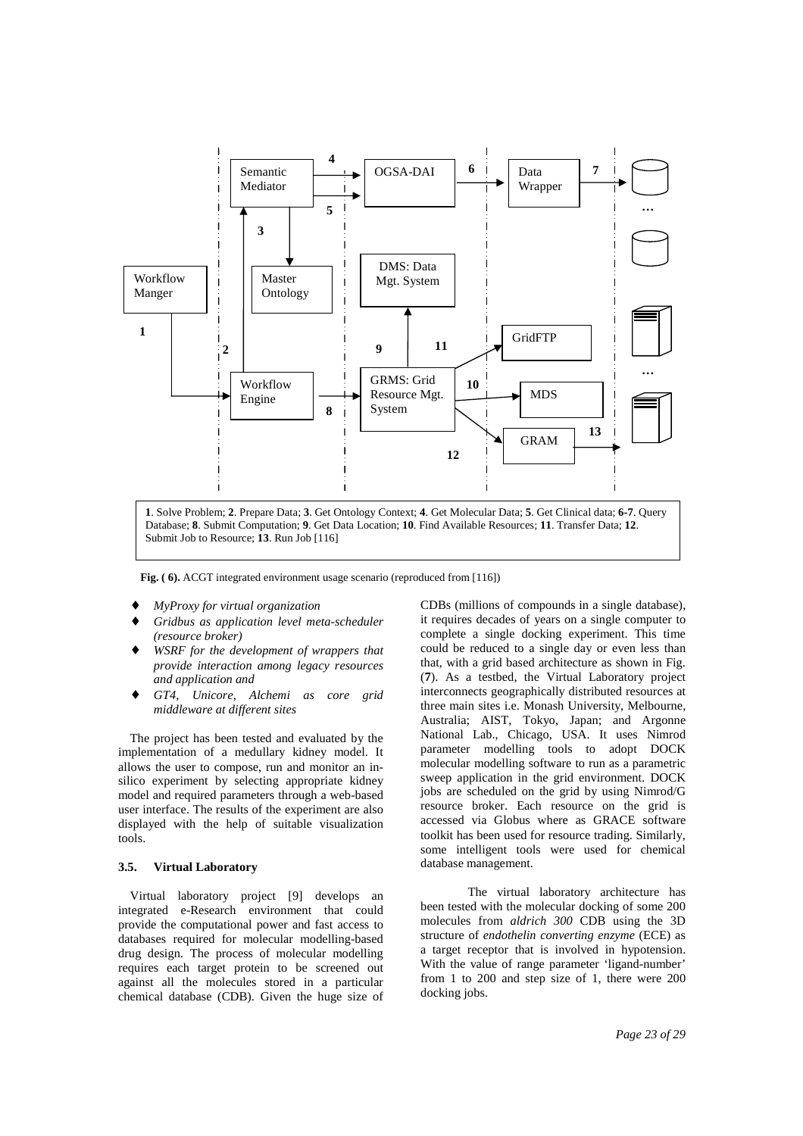

 **Fig. ( 6).** ACGT integrated environment usage scenario (reproduced from [116])

- ♦ *MyProxy for virtual organization*
- $Gridbus$  as application level meta-scheduler *(resource broker)*
- WSRF for the development of wrappers that *provide interaction among legacy resources and application and*
- ♦ *GT4, Unicore, Alchemi as core grid middleware at different sites*

The project has been tested and evaluated by the implementation of a medullary kidney model. It allows the user to compose, run and monitor an insilico experiment by selecting appropriate kidney model and required parameters through a web-based user interface. The results of the experiment are also displayed with the help of suitable visualization tools.

#### **3.5. Virtual Laboratory**

Virtual laboratory project [9] develops an integrated e-Research environment that could provide the computational power and fast access to databases required for molecular modelling-based drug design. The process of molecular modelling requires each target protein to be screened out against all the molecules stored in a particular chemical database (CDB). Given the huge size of CDBs (millions of compounds in a single database), it requires decades of years on a single computer to complete a single docking experiment. This time could be reduced to a single day or even less than that, with a grid based architecture as shown in Fig. (**7**). As a testbed, the Virtual Laboratory project interconnects geographically distributed resources at three main sites i.e. Monash University, Melbourne, Australia; AIST, Tokyo, Japan; and Argonne National Lab., Chicago, USA. It uses Nimrod parameter modelling tools to adopt DOCK molecular modelling software to run as a parametric sweep application in the grid environment. DOCK jobs are scheduled on the grid by using Nimrod/G resource broker. Each resource on the grid is accessed via Globus where as GRACE software toolkit has been used for resource trading. Similarly, some intelligent tools were used for chemical database management.

The virtual laboratory architecture has been tested with the molecular docking of some 200 molecules from *aldrich 300* CDB using the 3D structure of *endothelin converting enzyme* (ECE) as a target receptor that is involved in hypotension. With the value of range parameter 'ligand-number' from 1 to 200 and step size of 1, there were 200 docking jobs.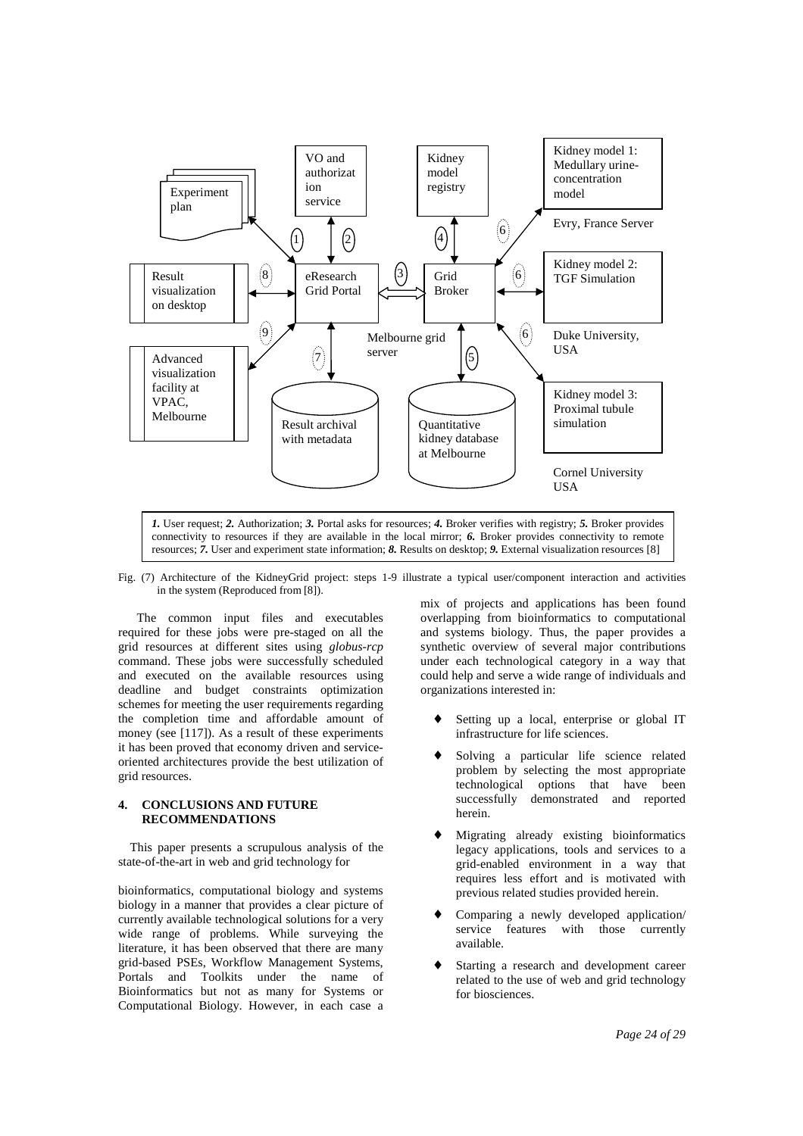

connectivity to resources if they are available in the local mirror; *6.* Broker provides connectivity to remote resources; *7.* User and experiment state information; *8.* Results on desktop; *9.* External visualization resources [8]

Fig. (7) Architecture of the KidneyGrid project: steps 1-9 illustrate a typical user/component interaction and activities in the system (Reproduced from [8]).

The common input files and executables required for these jobs were pre-staged on all the grid resources at different sites using *globus-rcp* command. These jobs were successfully scheduled and executed on the available resources using deadline and budget constraints optimization schemes for meeting the user requirements regarding the completion time and affordable amount of money (see [117]). As a result of these experiments it has been proved that economy driven and serviceoriented architectures provide the best utilization of grid resources.

## **4. CONCLUSIONS AND FUTURE RECOMMENDATIONS**

This paper presents a scrupulous analysis of the state-of-the-art in web and grid technology for

bioinformatics, computational biology and systems biology in a manner that provides a clear picture of currently available technological solutions for a very wide range of problems. While surveying the literature, it has been observed that there are many grid-based PSEs, Workflow Management Systems, Portals and Toolkits under the name of Bioinformatics but not as many for Systems or Computational Biology. However, in each case a mix of projects and applications has been found overlapping from bioinformatics to computational and systems biology. Thus, the paper provides a synthetic overview of several major contributions under each technological category in a way that could help and serve a wide range of individuals and organizations interested in:

- ♦ Setting up a local, enterprise or global IT infrastructure for life sciences.
- Solving a particular life science related problem by selecting the most appropriate technological options that have been successfully demonstrated and reported herein.
- Migrating already existing bioinformatics legacy applications, tools and services to a grid-enabled environment in a way that requires less effort and is motivated with previous related studies provided herein.
- Comparing a newly developed application/ service features with those currently available.
- Starting a research and development career related to the use of web and grid technology for biosciences.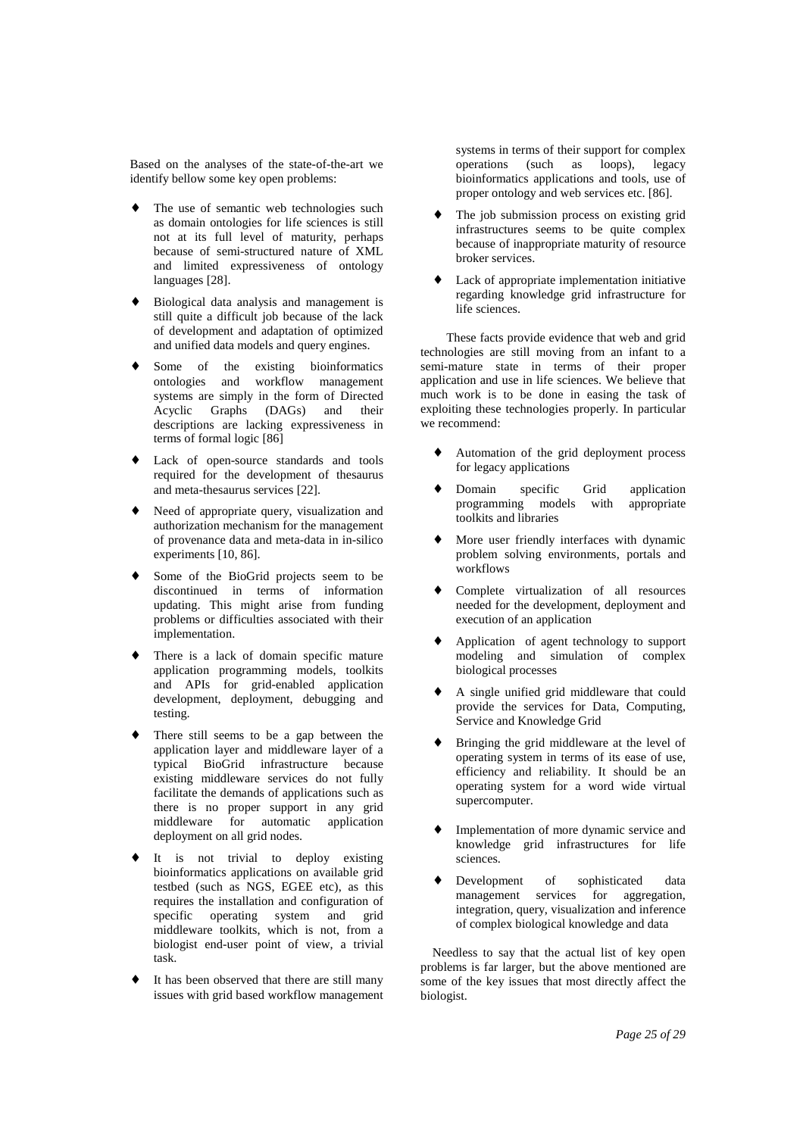Based on the analyses of the state-of-the-art we identify bellow some key open problems:

- The use of semantic web technologies such as domain ontologies for life sciences is still not at its full level of maturity, perhaps because of semi-structured nature of XML and limited expressiveness of ontology languages [28].
- Biological data analysis and management is still quite a difficult job because of the lack of development and adaptation of optimized and unified data models and query engines.
- Some of the existing bioinformatics ontologies and workflow management systems are simply in the form of Directed Acyclic Graphs (DAGs) and their descriptions are lacking expressiveness in terms of formal logic [86]
- Lack of open-source standards and tools required for the development of thesaurus and meta-thesaurus services [22].
- Need of appropriate query, visualization and authorization mechanism for the management of provenance data and meta-data in in-silico experiments [10, 86].
- Some of the BioGrid projects seem to be discontinued in terms of information updating. This might arise from funding problems or difficulties associated with their implementation.
- There is a lack of domain specific mature application programming models, toolkits and APIs for grid-enabled application development, deployment, debugging and testing.
- There still seems to be a gap between the application layer and middleware layer of a typical BioGrid infrastructure because existing middleware services do not fully facilitate the demands of applications such as there is no proper support in any grid middleware for automatic application deployment on all grid nodes.
- It is not trivial to deploy existing bioinformatics applications on available grid testbed (such as NGS, EGEE etc), as this requires the installation and configuration of specific operating system and grid middleware toolkits, which is not, from a biologist end-user point of view, a trivial task.
- It has been observed that there are still many issues with grid based workflow management

systems in terms of their support for complex operations (such as loops), legacy bioinformatics applications and tools, use of proper ontology and web services etc. [86].

- The job submission process on existing grid infrastructures seems to be quite complex because of inappropriate maturity of resource broker services.
- ♦ Lack of appropriate implementation initiative regarding knowledge grid infrastructure for life sciences.

These facts provide evidence that web and grid technologies are still moving from an infant to a semi-mature state in terms of their proper application and use in life sciences. We believe that much work is to be done in easing the task of exploiting these technologies properly. In particular we recommend:

- Automation of the grid deployment process for legacy applications
- Domain specific Grid application programming models with appropriate toolkits and libraries
- More user friendly interfaces with dynamic problem solving environments, portals and workflows
- Complete virtualization of all resources needed for the development, deployment and execution of an application
- Application of agent technology to support modeling and simulation of complex biological processes
- A single unified grid middleware that could provide the services for Data, Computing, Service and Knowledge Grid
- Bringing the grid middleware at the level of operating system in terms of its ease of use, efficiency and reliability. It should be an operating system for a word wide virtual supercomputer.
- Implementation of more dynamic service and knowledge grid infrastructures for life sciences.
- Development of sophisticated data management services for aggregation, integration, query, visualization and inference of complex biological knowledge and data

Needless to say that the actual list of key open problems is far larger, but the above mentioned are some of the key issues that most directly affect the biologist.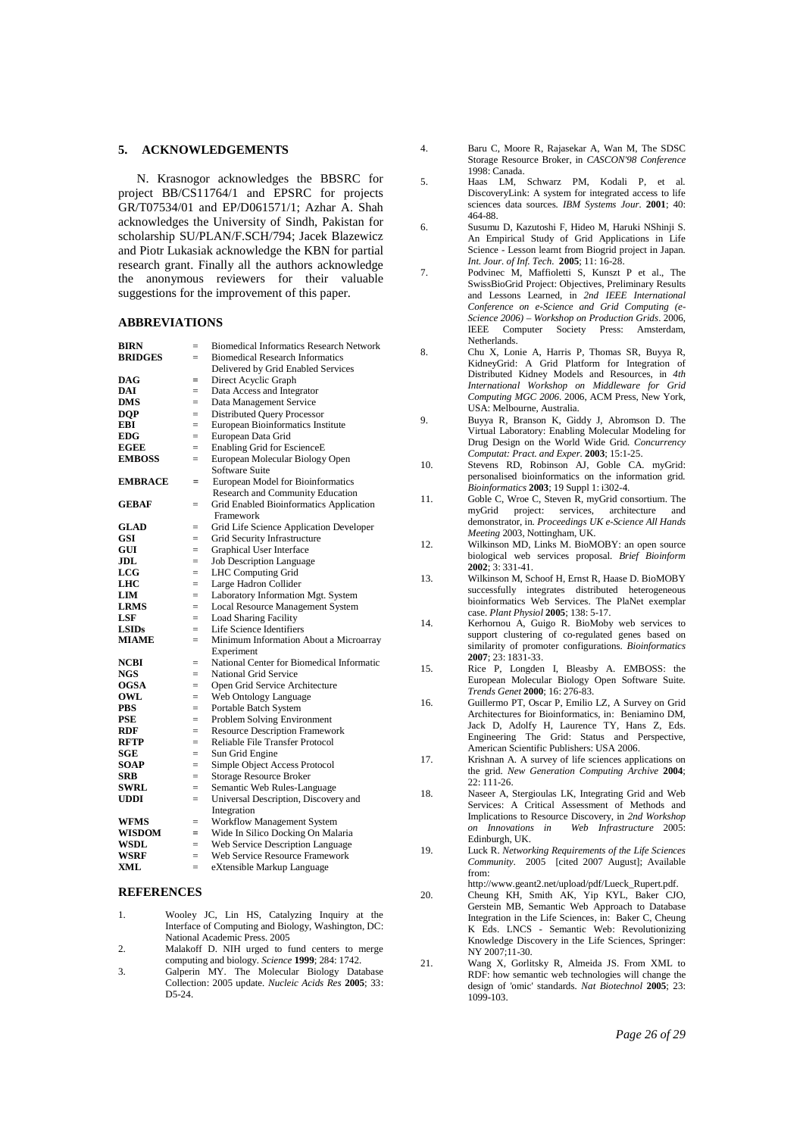#### **5. ACKNOWLEDGEMENTS**

N. Krasnogor acknowledges the BBSRC for project BB/CS11764/1 and EPSRC for projects GR/T07534/01 and EP/D061571/1; Azhar A. Shah acknowledges the University of Sindh, Pakistan for scholarship SU/PLAN/F.SCH/794; Jacek Blazewicz and Piotr Lukasiak acknowledge the KBN for partial research grant. Finally all the authors acknowledge the anonymous reviewers for their valuable suggestions for the improvement of this paper.

#### **ABBREVIATIONS**

| <b>BIRN</b>    | $=$ | <b>Biomedical Informatics Research Network</b> |
|----------------|-----|------------------------------------------------|
| <b>BRIDGES</b> | $=$ | <b>Biomedical Research Informatics</b>         |
|                |     | Delivered by Grid Enabled Services             |
| DAG            | $=$ | Direct Acyclic Graph                           |
| DAI            | $=$ | Data Access and Integrator                     |
| <b>DMS</b>     | $=$ | Data Management Service                        |
| <b>DQP</b>     | $=$ | <b>Distributed Query Processor</b>             |
| EBI            | $=$ | European Bioinformatics Institute              |
| <b>EDG</b>     | $=$ | European Data Grid                             |
| <b>EGEE</b>    | $=$ | Enabling Grid for EscienceE                    |
| <b>EMBOSS</b>  | $=$ | European Molecular Biology Open                |
|                |     | Software Suite                                 |
| <b>EMBRACE</b> | =   | European Model for Bioinformatics              |
|                |     | Research and Community Education               |
| GEBAF          | $=$ | Grid Enabled Bioinformatics Application        |
|                |     | Framework                                      |
| <b>GLAD</b>    | $=$ | Grid Life Science Application Developer        |
| GSI            | $=$ | Grid Security Infrastructure                   |
| GUI            | $=$ | Graphical User Interface                       |
| JDL            | $=$ | <b>Job Description Language</b>                |
| $_{\rm LCG}$   | $=$ | <b>LHC</b> Computing Grid                      |
| LHC            | $=$ | Large Hadron Collider                          |
| LIM            | $=$ | Laboratory Information Mgt. System             |
| <b>LRMS</b>    | $=$ | Local Resource Management System               |
| LSF            | $=$ | <b>Load Sharing Facility</b>                   |
| <b>LSIDs</b>   | $=$ | Life Science Identifiers                       |
| <b>MIAME</b>   | $=$ | Minimum Information About a Microarray         |
|                |     | Experiment                                     |
| <b>NCBI</b>    | $=$ | National Center for Biomedical Informatic      |
| NGS            | $=$ | National Grid Service                          |
| <b>OGSA</b>    | $=$ | Open Grid Service Architecture                 |
| OWL            | $=$ | Web Ontology Language                          |
| PBS            | $=$ | Portable Batch System                          |
| <b>PSE</b>     | $=$ | Problem Solving Environment                    |
| RDF            | $=$ | <b>Resource Description Framework</b>          |
| <b>RFTP</b>    | $=$ | Reliable File Transfer Protocol                |
| SGE            | $=$ | Sun Grid Engine                                |
| SOAP           | $=$ | Simple Object Access Protocol                  |
| <b>SRB</b>     | $=$ | <b>Storage Resource Broker</b>                 |
| SWRL           | $=$ | Semantic Web Rules-Language                    |
| <b>UDDI</b>    | $=$ | Universal Description, Discovery and           |
|                |     | Integration                                    |
| WFMS           | $=$ | Workflow Management System                     |
| <b>WISDOM</b>  | $=$ | Wide In Silico Docking On Malaria              |
| <b>WSDL</b>    | $=$ | Web Service Description Language               |
| WSRF           | $=$ | Web Service Resource Framework                 |
| XML            | $=$ | eXtensible Markup Language                     |

#### **REFERENCES**

- 1. Wooley JC, Lin HS, Catalyzing Inquiry at the Interface of Computing and Biology, Washington, DC: National Academic Press. 2005
- 2. Malakoff D. NIH urged to fund centers to merge computing and biology*. Science* **1999**; 284: 1742.
- 3. Galperin MY. The Molecular Biology Database Collection: 2005 update*. Nucleic Acids Res* **2005**; 33: D5-24.
- 4. Baru C, Moore R, Rajasekar A, Wan M, The SDSC Storage Resource Broker, in *CASCON'98 Conference*  1998: Canada.
- 5. Haas LM, Schwarz PM, Kodali P, et DiscoveryLink: A system for integrated access to life sciences data sources*. IBM Systems Jour.* **2001**; 40: 464-88.
- 6. Susumu D, Kazutoshi F, Hideo M, Haruki NShinji S. An Empirical Study of Grid Applications in Life Science - Lesson learnt from Biogrid project in Japan. *Int. Jour. of Inf. Tech.* **2005**; 11: 16-28.
- 7. Podvinec M, Maffioletti S, Kunszt P et al., The SwissBioGrid Project: Objectives, Preliminary Results and Lessons Learned, in *2nd IEEE International Conference on e-Science and Grid Computing (e-Science 2006) – Workshop on Production Grids*. 2006, IEEE Computer Society Press: Amsterdam, Netherlands.
- 8. Chu X, Lonie A, Harris P, Thomas SR, Buyya R, KidneyGrid: A Grid Platform for Integration of Distributed Kidney Models and Resources, in *4th International Workshop on Middleware for Grid Computing MGC 2006*. 2006, ACM Press, New York, USA: Melbourne, Australia.
- 9. Buyya R, Branson K, Giddy J, Abromson D. The Virtual Laboratory: Enabling Molecular Modeling for Drug Design on the World Wide Grid*. Concurrency Computat: Pract. and Exper.* **2003**; 15:1-25.
- 10. Stevens RD, Robinson AJ, Goble CA. myGrid: personalised bioinformatics on the information grid*. Bioinformatics* **2003**; 19 Suppl 1: i302-4.
- 11. Goble C, Wroe C, Steven R, myGrid consortium. The myGrid project: services, architecture and myGrid project: services, architecture and demonstrator, in*. Proceedings UK e-Science All Hands Meeting* 2003, Nottingham, UK.
- 12. Wilkinson MD, Links M. BioMOBY: an open source biological web services proposal*. Brief Bioinform* **2002**; 3: 331-41.
- 13. Wilkinson M, Schoof H, Ernst R, Haase D. BioMOBY successfully integrates distributed heterogeneous bioinformatics Web Services. The PlaNet exemplar case*. Plant Physiol* **2005**; 138: 5-17.
- 14. Kerhornou A, Guigo R. BioMoby web services to support clustering of co-regulated genes based on similarity of promoter configurations*. Bioinformatics* **2007**; 23: 1831-33.
- 15. Rice P, Longden I, Bleasby A. EMBOSS: the European Molecular Biology Open Software Suite*. Trends Genet* **2000**; 16: 276-83.
- 16. Guillermo PT, Oscar P, Emilio LZ, A Survey on Grid Architectures for Bioinformatics, in: Beniamino DM, Jack D, Adolfy H, Laurence TY, Hans Z, Eds. Engineering The Grid: Status and Perspective, American Scientific Publishers: USA 2006.
- 17. Krishnan A. A survey of life sciences applications on the grid*. New Generation Computing Archive* **2004**; 22: 111-26.
- 18. Naseer A, Stergioulas LK, Integrating Grid and Web Services: A Critical Assessment of Methods and Implications to Resource Discovery, in *2nd Workshop on Innovations in Web Infrastructure* 2005: Edinburgh, UK.
- 19. Luck R. *Networking Requirements of the Life Sciences Community*. 2005 [cited 2007 August]; Available from:
- http://www.geant2.net/upload/pdf/Lueck\_Rupert.pdf. 20. Cheung KH, Smith AK, Yip KYL, Baker CJO,
	- Gerstein MB, Semantic Web Approach to Database Integration in the Life Sciences, in: Baker C, Cheung K Eds. LNCS - Semantic Web: Revolutionizing Knowledge Discovery in the Life Sciences, Springer:  $NY 2007:11-30.$
- 21. Wang X, Gorlitsky R, Almeida JS. From XML to RDF: how semantic web technologies will change the design of 'omic' standards*. Nat Biotechnol* **2005**; 23: 1099-103.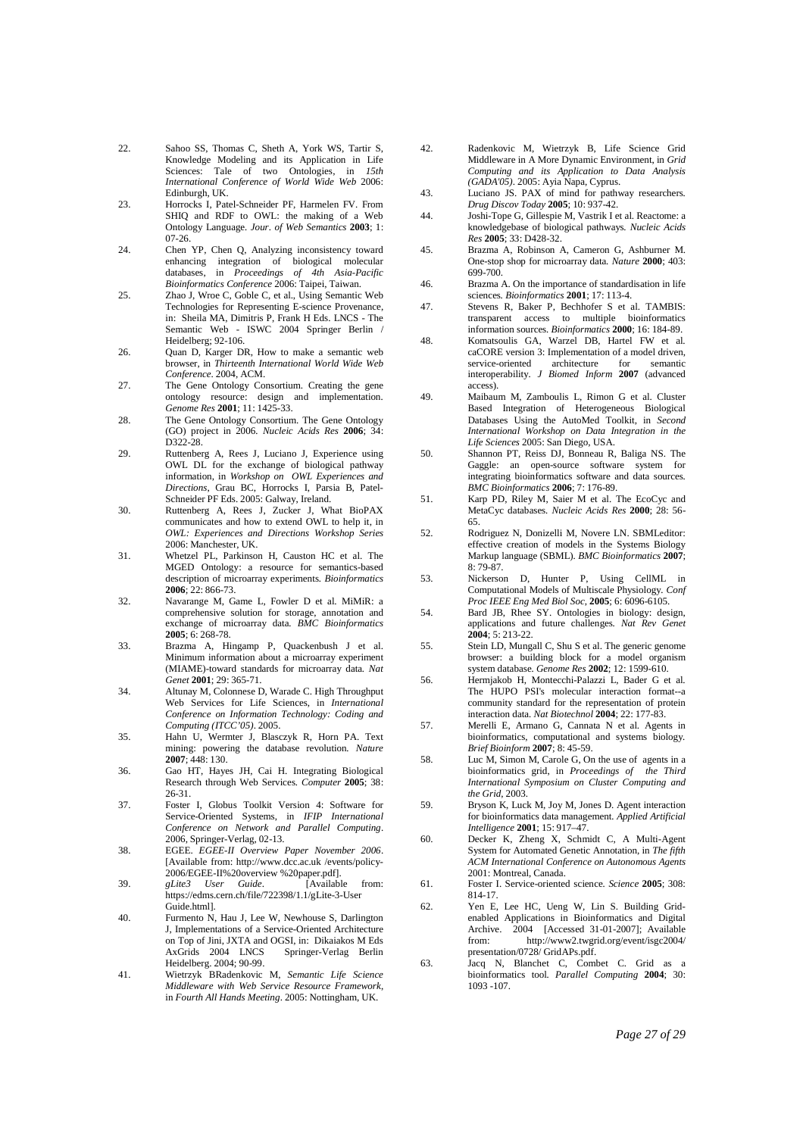- 22. Sahoo SS, Thomas C, Sheth A, York WS, Tartir S, Knowledge Modeling and its Application in Life Sciences: Tale of two Ontologies, in *15th International Conference of World Wide Web* 2006: Edinburgh, UK.
- 23. Horrocks I, Patel-Schneider PF, Harmelen FV. From SHIQ and RDF to OWL: the making of a Web Ontology Language*. Jour. of Web Semantics* **2003**; 1: 07-26.
- 24. Chen YP, Chen Q, Analyzing inconsistency toward enhancing integration of biological molecular databases, in *Proceedings of 4th Asia-Pacific Bioinformatics Conference* 2006: Taipei, Taiwan.
- 25. Zhao J, Wroe C, Goble C, et al., Using Semantic Web Technologies for Representing E-science Provenance, in: Sheila MA, Dimitris P, Frank H Eds. LNCS - The Semantic Web - ISWC 2004 Springer Berlin / Heidelberg; 92-106.
- 26. Ouan D, Karger DR, How to make a semantic web browser, in *Thirteenth International World Wide Web Conference*. 2004, ACM.
- 27. The Gene Ontology Consortium. Creating the gene ontology resource: design and implementation*. Genome Res* **2001**; 11: 1425-33.
- 28. The Gene Ontology Consortium. The Gene Ontology (GO) project in 2006*. Nucleic Acids Res* **2006**; 34: D322-28.
- 29. Ruttenberg A, Rees J, Luciano J, Experience using OWL DL for the exchange of biological pathway information, in *Workshop on OWL Experiences and Directions*, Grau BC, Horrocks I, Parsia B, Patel-Schneider PF Eds. 2005: Galway, Ireland.
- 30. Ruttenberg A, Rees J, Zucker J, What BioPAX communicates and how to extend OWL to help it, in *OWL: Experiences and Directions Workshop Series*  2006: Manchester, UK.
- 31. Whetzel PL, Parkinson H, Causton HC et al. The MGED Ontology: a resource for semantics-based description of microarray experiments*. Bioinformatics* **2006**; 22: 866-73.
- 32. Navarange M, Game L, Fowler D et al. MiMiR: a comprehensive solution for storage, annotation and exchange of microarray data*. BMC Bioinformatics* **2005**; 6: 268-78.
- 33. Brazma A, Hingamp P, Quackenbush J et al. Minimum information about a microarray experiment (MIAME)-toward standards for microarray data*. Nat Genet* **2001**; 29: 365-71.
- 34. Altunay M, Colonnese D, Warade C. High Throughput Web Services for Life Sciences, in *International Conference on Information Technology: Coding and Computing (ITCC'05)*. 2005.
- 35. Hahn U, Wermter J, Blasczyk R, Horn PA. Text mining: powering the database revolution*. Nature* **2007**; 448: 130.
- 36. Gao HT, Hayes JH, Cai H. Integrating Biological Research through Web Services*. Computer* **2005**; 38: 26-31.
- 37. Foster I, Globus Toolkit Version 4: Software for Service-Oriented Systems, in *IFIP International Conference on Network and Parallel Computing*. 2006, Springer-Verlag, 02-13.
- 38. EGEE. *EGEE-II Overview Paper November 2006*. [Available from: http://www.dcc.ac.uk /events/policy-2006/EGEE-II%20overview %20paper.pdf].
- 39. *gLite3 User Guide*. [Available from: https://edms.cern.ch/file/722398/1.1/gLite-3-User Guide.html].
- 40. Furmento N, Hau J, Lee W, Newhouse S, Darlington J, Implementations of a Service-Oriented Architecture on Top of Jini, JXTA and OGSI, in: Dikaiakos M Eds AxGrids 2004 LNCS Springer-Verlag Berlin Heidelberg. 2004; 90-99.
- 41. Wietrzyk BRadenkovic M, *Semantic Life Science Middleware with Web Service Resource Framework*, in *Fourth All Hands Meeting*. 2005: Nottingham, UK.
- 42. Radenkovic M, Wietrzyk B, Life Science Grid Middleware in A More Dynamic Environment, in *Grid Computing and its Application to Data Analysis (GADA'05)*. 2005: Ayia Napa, Cyprus.
- 43. Luciano JS. PAX of mind for pathway researchers*. Drug Discov Today* **2005**; 10: 937-42.
- 44. Joshi-Tope G, Gillespie M, Vastrik I et al. Reactome: a knowledgebase of biological pathways*. Nucleic Acids Res* **2005**; 33: D428-32.
- 45. Brazma A, Robinson A, Cameron G, Ashburner M. One-stop shop for microarray data*. Nature* **2000**; 403: 699-700.
- 46. Brazma A. On the importance of standardisation in life sciences*. Bioinformatics* **2001**; 17: 113-4.
- 47. Stevens R, Baker P, Bechhofer S et al. TAMBIS: transparent access to multiple bioinformatics information sources*. Bioinformatics* **2000**; 16: 184-89.
- 48. Komatsoulis GA, Warzel DB, Hartel FW et al. caCORE version 3: Implementation of a model driven, service-oriented interoperability*. J Biomed Inform* **2007** (advanced access).
- 49. Maibaum M, Zamboulis L, Rimon G et al. Cluster Based Integration of Heterogeneous Biological Databases Using the AutoMed Toolkit, in *Second International Workshop on Data Integration in the Life Sciences* 2005: San Diego, USA.
- 50. Shannon PT, Reiss DJ, Bonneau R, Baliga NS. The Gaggle: an open-source software system for integrating bioinformatics software and data sources*. BMC Bioinformatics* **2006**; 7: 176-89.
- 51. Karp PD, Riley M, Saier M et al. The EcoCyc and MetaCyc databases*. Nucleic Acids Res* **2000**; 28: 56- 65.
- 52. Rodriguez N, Donizelli M, Novere LN. SBMLeditor: effective creation of models in the Systems Biology Markup language (SBML)*. BMC Bioinformatics* **2007**; 8: 79-87.
- 53. Nickerson D, Hunter P, Using CellML in Computational Models of Multiscale Physiology*. Conf Proc IEEE Eng Med Biol Soc*, **2005**; 6: 6096-6105.
- 54. Bard JB, Rhee SY. Ontologies in biology: design, applications and future challenges*. Nat Rev Genet* **2004**; 5: 213-22.
- 55. Stein LD, Mungall C, Shu S et al. The generic genome browser: a building block for a model organism system database*. Genome Res* **2002**; 12: 1599-610.
- 56. Hermjakob H, Montecchi-Palazzi L, Bader G et al. The HUPO PSI's molecular interaction format--a community standard for the representation of protein interaction data*. Nat Biotechnol* **2004**; 22: 177-83.
- 57. Merelli E, Armano G, Cannata N et al. Agents in bioinformatics, computational and systems biology*. Brief Bioinform* **2007**; 8: 45-59.
- 58. Luc M, Simon M, Carole G, On the use of agents in a bioinformatics grid, in *Proceedings of the Third International Symposium on Cluster Computing and the Grid*, 2003.
- 59. Bryson K, Luck M, Joy M, Jones D. Agent interaction for bioinformatics data management*. Applied Artificial Intelligence* **2001**; 15: 917–47.
- 60. Decker K, Zheng X, Schmidt C, A Multi-Agent System for Automated Genetic Annotation, in *The fifth ACM International Conference on Autonomous Agents*  2001: Montreal, Canada.
- 61. Foster I. Service-oriented science*. Science* **2005**; 308: 814-17.
- 62. Yen E, Lee HC, Ueng W, Lin S. Building Gridenabled Applications in Bioinformatics and Digital Archive. 2004 [Accessed 31-01-2007]; Available from: http://www2.twgrid.org/event/isgc2004/ presentation/0728/ GridAPs.pdf.
- 63. Jacq N, Blanchet C, Combet C. Grid as a bioinformatics tool*. Parallel Computing* **2004**; 30: 1093 -107.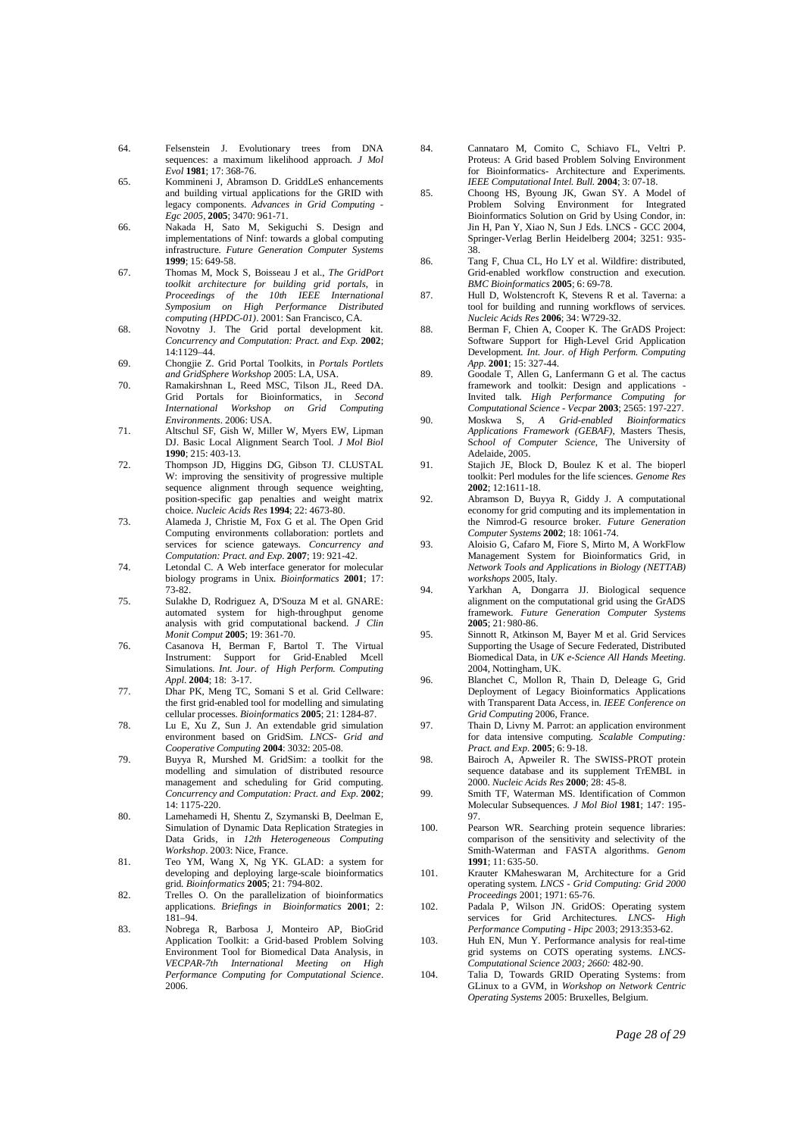- 64. Felsenstein J. Evolutionary trees from DNA sequences: a maximum likelihood approach*. J Mol Evol* **1981**; 17: 368-76.
- 65. Kommineni J, Abramson D. GriddLeS enhancements and building virtual applications for the GRID with legacy components*. Advances in Grid Computing - Egc 2005*, **2005**; 3470: 961-71.
- 66. Nakada H, Sato M, Sekiguchi S. Design and implementations of Ninf: towards a global computing infrastructure*. Future Generation Computer Systems* **1999**; 15: 649-58.
- 67. Thomas M, Mock S, Boisseau J et al., *The GridPort toolkit architecture for building grid portals*, in *Proceedings of the 10th IEEE International Symposium on High Performance Distributed computing (HPDC-01)*. 2001: San Francisco, CA.
- 68. Novotny J. The Grid portal development kit*. Concurrency and Computation: Pract. and Exp.* **2002**; 14:1129–44.
- 69. Chongjie Z. Grid Portal Toolkits, in *Portals Portlets and GridSphere Workshop* 2005: LA, USA.
- 70. Ramakirshnan L, Reed MSC, Tilson JL, Reed DA. Grid Portals for Bioinformatics, in *Second International Workshop Environments*. 2006: USA.
- 71. Altschul SF, Gish W, Miller W, Myers EW, Lipman DJ. Basic Local Alignment Search Tool*. J Mol Biol* **1990**; 215: 403-13.
- 72. Thompson JD, Higgins DG, Gibson TJ. CLUSTAL W: improving the sensitivity of progressive multiple sequence alignment through sequence weighting, position-specific gap penalties and weight matrix choice*. Nucleic Acids Res* **1994**; 22: 4673-80.
- 73. Alameda J, Christie M, Fox G et al. The Open Grid Computing environments collaboration: portlets and services for science gateways*. Concurrency and Computation: Pract. and Exp.* **2007**; 19: 921-42.
- 74. Letondal C. A Web interface generator for molecular biology programs in Unix*. Bioinformatics* **2001**; 17:  $72.82.$
- 75. Sulakhe D, Rodriguez A, D'Souza M et al. GNARE: automated system for high-throughput genome analysis with grid computational backend*. J Clin Monit Comput* **2005**; 19: 361-70.
- 76. Casanova H, Berman F, Bartol T. The Virtual Support for Grid-Enabled Mcell Simulations*. Int. Jour. of High Perform. Computing Appl.* **2004**; 18: 3-17.
- 77. Dhar PK, Meng TC, Somani S et al. Grid Cellware: the first grid-enabled tool for modelling and simulating cellular processes*. Bioinformatics* **2005**; 21: 1284-87.
- 78. Lu E, Xu Z, Sun J. An extendable grid simulation environment based on GridSim*. LNCS- Grid and Cooperative Computing* **2004**: 3032: 205-08.
- 79. Buyya R, Murshed M. GridSim: a toolkit for the modelling and simulation of distributed resource management and scheduling for Grid computing*. Concurrency and Computation: Pract. and Exp.* **2002**;  $14.1175 - 220$
- 80. Lamehamedi H, Shentu Z, Szymanski B, Deelman E, Simulation of Dynamic Data Replication Strategies in Data Grids, in *12th Heterogeneous Computing Workshop*. 2003: Nice, France.
- 81. Teo YM, Wang X, Ng YK. GLAD: a system for developing and deploying large-scale bioinformatics grid*. Bioinformatics* **2005**; 21: 794-802.
- 82. Trelles O. On the parallelization of bioinformatics applications*. Briefings in Bioinformatics* **2001**; 2: 181–94.
- 83. Nobrega R, Barbosa J, Monteiro AP, BioGrid Application Toolkit: a Grid-based Problem Solving Environment Tool for Biomedical Data Analysis, in *VECPAR-7th International Meeting on High Performance Computing for Computational Science*. 2006.
- 84. Cannataro M, Comito C, Schiavo FL, Veltri P. Proteus: A Grid based Problem Solving Environment for Bioinformatics- Architecture and Experiments*. IEEE Computational Intel. Bull.* **2004**; 3: 07-18.
- 85. Choong HS, Byoung JK, Gwan SY. A Model of Problem Solving Environment for Integrated Bioinformatics Solution on Grid by Using Condor, in: Jin H, Pan Y, Xiao N, Sun J Eds. LNCS - GCC 2004, Springer-Verlag Berlin Heidelberg 2004; 3251: 935- 38.
- 86. Tang F, Chua CL, Ho LY et al. Wildfire: distributed, Grid-enabled workflow construction and execution*. BMC Bioinformatics* **2005**; 6: 69-78.
- 87. Hull D, Wolstencroft K, Stevens R et al. Taverna: a tool for building and running workflows of services*. Nucleic Acids Res* **2006**; 34: W729-32.
- 88. Berman F, Chien A, Cooper K. The GrADS Project: Software Support for High-Level Grid Application Development*. Int. Jour. of High Perform. Computing App.* **2001**; 15: 327-44.
- 89. Goodale T, Allen G, Lanfermann G et al. The cactus framework and toolkit: Design and applications Invited talk*. High Performance Computing for Computational Science - Vecpar* **2003**; 2565: 197-227.
- 90. Moskwa S, *A Grid-enabled Bioinformatics Applications Framework (GEBAF)*, Masters Thesis, S*chool of Computer Science*, The University of Adelaide, 2005.
- 91. Stajich JE, Block D, Boulez K et al. The bioperl toolkit: Perl modules for the life sciences*. Genome Res* **2002**; 12:1611-18.
- 92. Abramson D, Buyya R, Giddy J. A computational economy for grid computing and its implementation in the Nimrod-G resource broker*. Future Generation Computer Systems* **2002**; 18: 1061-74.
- 93. Aloisio G, Cafaro M, Fiore S, Mirto M, A WorkFlow Management System for Bioinformatics Grid, in *Network Tools and Applications in Biology (NETTAB) workshops* 2005, Italy.
- 94. Yarkhan A, Dongarra JJ. Biological sequence alignment on the computational grid using the GrADS framework*. Future Generation Computer Systems*  **2005**; 21: 980-86.
- 95. Sinnott R, Atkinson M, Bayer M et al. Grid Services Supporting the Usage of Secure Federated, Distributed Biomedical Data, in *UK e-Science All Hands Meeting*. 2004, Nottingham, UK.
- 96. Blanchet C, Mollon R, Thain D, Deleage G, Grid Deployment of Legacy Bioinformatics Applications with Transparent Data Access, in*. IEEE Conference on Grid Computing* 2006, France.
- 97. Thain D, Livny M. Parrot: an application environment for data intensive computing*. Scalable Computing: Pract. and Exp.* **2005**; 6: 9-18.
- 98. Bairoch A, Apweiler R. The SWISS-PROT protein sequence database and its supplement TrEMBL in 2000*. Nucleic Acids Res* **2000**; 28: 45-8.
- 99. Smith TF, Waterman MS. Identification of Common Molecular Subsequences*. J Mol Biol* **1981**; 147: 195- 97.
- 100. Pearson WR. Searching protein sequence libraries: comparison of the sensitivity and selectivity of the Smith-Waterman and FASTA algorithms*. Genom* **1991**; 11: 635-50.
- 101. Krauter KMaheswaran M, Architecture for a Grid operating system*. LNCS - Grid Computing: Grid 2000 Proceedings* 2001; 1971: 65-76.
- 102. Padala P, Wilson JN. GridOS: Operating system services for Grid Architectures*. LNCS- High Performance Computing - Hipc* 2003; 2913:353-62.
- 103. Huh EN, Mun Y. Performance analysis for real-time grid systems on COTS operating systems*. LNCS-Computational Science 2003; 2660:* 482-90.
- 104. Talia D, Towards GRID Operating Systems: from GLinux to a GVM, in *Workshop on Network Centric Operating Systems* 2005: Bruxelles, Belgium.